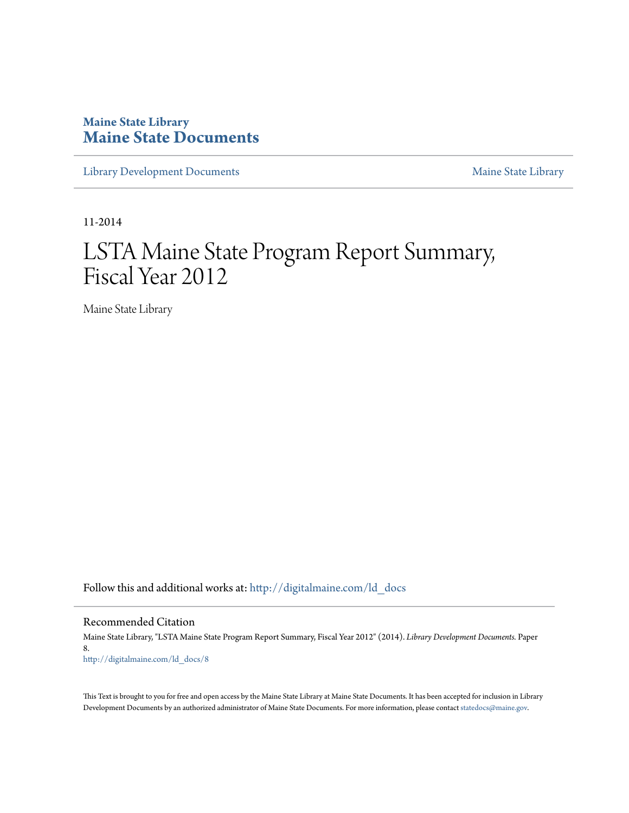# **Maine State Library [Maine State Documents](http://digitalmaine.com?utm_source=digitalmaine.com%2Fld_docs%2F8&utm_medium=PDF&utm_campaign=PDFCoverPages)**

[Library Development Documents](http://digitalmaine.com/ld_docs?utm_source=digitalmaine.com%2Fld_docs%2F8&utm_medium=PDF&utm_campaign=PDFCoverPages) [Maine State Library](http://digitalmaine.com/msl?utm_source=digitalmaine.com%2Fld_docs%2F8&utm_medium=PDF&utm_campaign=PDFCoverPages)

11-2014

# LSTA Maine State Program Report Summary, Fiscal Year 2012

Maine State Library

Follow this and additional works at: [http://digitalmaine.com/ld\\_docs](http://digitalmaine.com/ld_docs?utm_source=digitalmaine.com%2Fld_docs%2F8&utm_medium=PDF&utm_campaign=PDFCoverPages)

Recommended Citation

Maine State Library, "LSTA Maine State Program Report Summary, Fiscal Year 2012" (2014). *Library Development Documents.* Paper 8. [http://digitalmaine.com/ld\\_docs/8](http://digitalmaine.com/ld_docs/8?utm_source=digitalmaine.com%2Fld_docs%2F8&utm_medium=PDF&utm_campaign=PDFCoverPages)

This Text is brought to you for free and open access by the Maine State Library at Maine State Documents. It has been accepted for inclusion in Library Development Documents by an authorized administrator of Maine State Documents. For more information, please contact [statedocs@maine.gov](mailto:statedocs@maine.gov).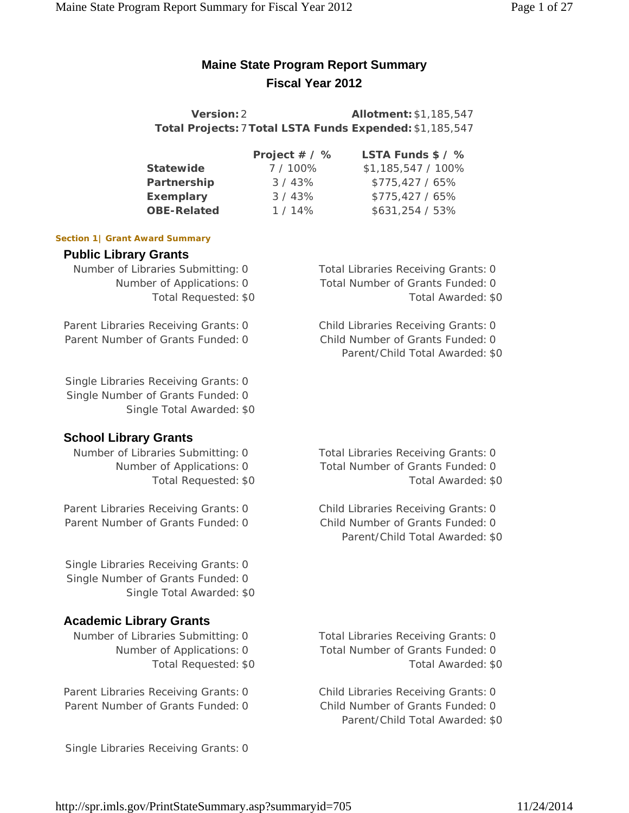# **Maine State Program Report Summary Fiscal Year 2012**

**Version:**2 **Allotment:**\$1,185,547 **Total Projects:**7**Total LSTA Funds Expended:**\$1,185,547

|                    | Project # / % | LSTA Funds \$ / %  |
|--------------------|---------------|--------------------|
| <b>Statewide</b>   | 7/100%        | \$1,185,547 / 100% |
| Partnership        | 3/43%         | $$775,427/65\%$    |
| <b>Exemplary</b>   | 3/43%         | $$775,427/65\%$    |
| <b>OBE-Related</b> | $1/14\%$      | \$631,254 / 53%    |

#### **Section 1| Grant Award Summary**

### **Public Library Grants**

Number of Libraries Submitting: 0 Total Libraries Receiving Grants: 0

Parent Libraries Receiving Grants: 0 Child Libraries Receiving Grants: 0 Parent Number of Grants Funded: 0 Child Number of Grants Funded: 0

Single Libraries Receiving Grants: 0 Single Number of Grants Funded: 0 Single Total Awarded: \$0

# **School Library Grants**

Number of Libraries Submitting: 0 Total Libraries Receiving Grants: 0

Parent Libraries Receiving Grants: 0 Child Libraries Receiving Grants: 0 Parent Number of Grants Funded: 0 Child Number of Grants Funded: 0

Single Libraries Receiving Grants: 0 Single Number of Grants Funded: 0 Single Total Awarded: \$0

# **Academic Library Grants**

Parent Libraries Receiving Grants: 0 Child Libraries Receiving Grants: 0 Parent Number of Grants Funded: 0 Child Number of Grants Funded: 0

Single Libraries Receiving Grants: 0

Number of Applications: 0 Total Number of Grants Funded: 0 Total Requested: \$0 Total Awarded: \$0

Parent/Child Total Awarded: \$0

Number of Applications: 0 Total Number of Grants Funded: 0 Total Requested: \$0 Total Awarded: \$0

Parent/Child Total Awarded: \$0

Number of Libraries Submitting: 0 Total Libraries Receiving Grants: 0 Number of Applications: 0 Total Number of Grants Funded: 0 Total Requested: \$0 Total Awarded: \$0

Parent/Child Total Awarded: \$0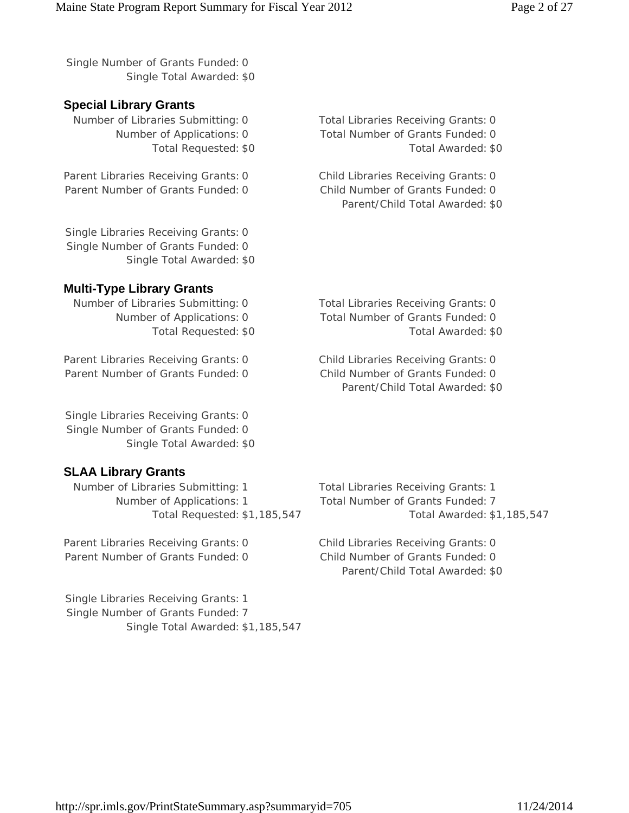Single Number of Grants Funded: 0 Single Total Awarded: \$0

# **Special Library Grants**

Parent Libraries Receiving Grants: 0 Child Libraries Receiving Grants: 0 Parent Number of Grants Funded: 0 Child Number of Grants Funded: 0

Single Libraries Receiving Grants: 0 Single Number of Grants Funded: 0 Single Total Awarded: \$0

# **Multi-Type Library Grants**

Number of Libraries Submitting: 0 Total Libraries Receiving Grants: 0

Parent Libraries Receiving Grants: 0 Child Libraries Receiving Grants: 0 Parent Number of Grants Funded: 0 Child Number of Grants Funded: 0

Single Libraries Receiving Grants: 0 Single Number of Grants Funded: 0 Single Total Awarded: \$0

# **SLAA Library Grants**

Number of Libraries Submitting: 1 Total Libraries Receiving Grants: 1 Number of Applications: 1 Total Number of Grants Funded: 7

Parent Libraries Receiving Grants: 0 Child Libraries Receiving Grants: 0 Parent Number of Grants Funded: 0 Child Number of Grants Funded: 0

Single Libraries Receiving Grants: 1 Single Number of Grants Funded: 7 Single Total Awarded: \$1,185,547

Number of Libraries Submitting: 0 Total Libraries Receiving Grants: 0 Number of Applications: 0 Total Number of Grants Funded: 0 Total Requested: \$0 Total Awarded: \$0

Parent/Child Total Awarded: \$0

Number of Applications: 0 Total Number of Grants Funded: 0 Total Requested: \$0 Total Awarded: \$0

Parent/Child Total Awarded: \$0

Total Requested: \$1,185,547 Total Awarded: \$1,185,547

Parent/Child Total Awarded: \$0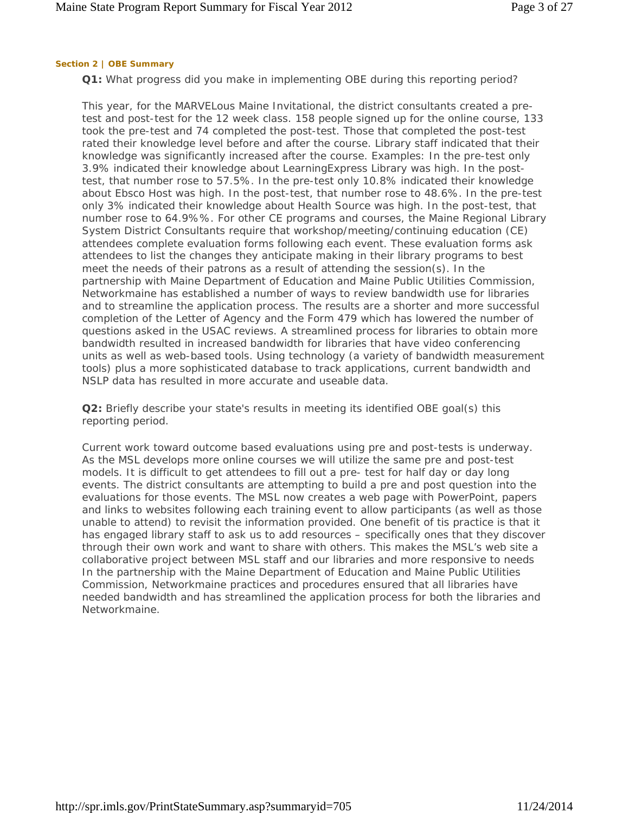#### **Section 2 | OBE Summary**

**Q1:** What progress did you make in implementing OBE during this reporting period?

This year, for the MARVELous Maine Invitational, the district consultants created a pretest and post-test for the 12 week class. 158 people signed up for the online course, 133 took the pre-test and 74 completed the post-test. Those that completed the post-test rated their knowledge level before and after the course. Library staff indicated that their knowledge was significantly increased after the course. Examples: In the pre-test only 3.9% indicated their knowledge about LearningExpress Library was high. In the posttest, that number rose to 57.5%. In the pre-test only 10.8% indicated their knowledge about Ebsco Host was high. In the post-test, that number rose to 48.6%. In the pre-test only 3% indicated their knowledge about Health Source was high. In the post-test, that number rose to 64.9%%. For other CE programs and courses, the Maine Regional Library System District Consultants require that workshop/meeting/continuing education (CE) attendees complete evaluation forms following each event. These evaluation forms ask attendees to list the changes they anticipate making in their library programs to best meet the needs of their patrons as a result of attending the session(s). In the partnership with Maine Department of Education and Maine Public Utilities Commission, Networkmaine has established a number of ways to review bandwidth use for libraries and to streamline the application process. The results are a shorter and more successful completion of the Letter of Agency and the Form 479 which has lowered the number of questions asked in the USAC reviews. A streamlined process for libraries to obtain more bandwidth resulted in increased bandwidth for libraries that have video conferencing units as well as web-based tools. Using technology (a variety of bandwidth measurement tools) plus a more sophisticated database to track applications, current bandwidth and NSLP data has resulted in more accurate and useable data.

**Q2:** Briefly describe your state's results in meeting its identified OBE goal(s) this reporting period.

Current work toward outcome based evaluations using pre and post-tests is underway. As the MSL develops more online courses we will utilize the same pre and post-test models. It is difficult to get attendees to fill out a pre- test for half day or day long events. The district consultants are attempting to build a pre and post question into the evaluations for those events. The MSL now creates a web page with PowerPoint, papers and links to websites following each training event to allow participants (as well as those unable to attend) to revisit the information provided. One benefit of tis practice is that it has engaged library staff to ask us to add resources – specifically ones that they discover through their own work and want to share with others. This makes the MSL's web site a collaborative project between MSL staff and our libraries and more responsive to needs In the partnership with the Maine Department of Education and Maine Public Utilities Commission, Networkmaine practices and procedures ensured that all libraries have needed bandwidth and has streamlined the application process for both the libraries and Networkmaine.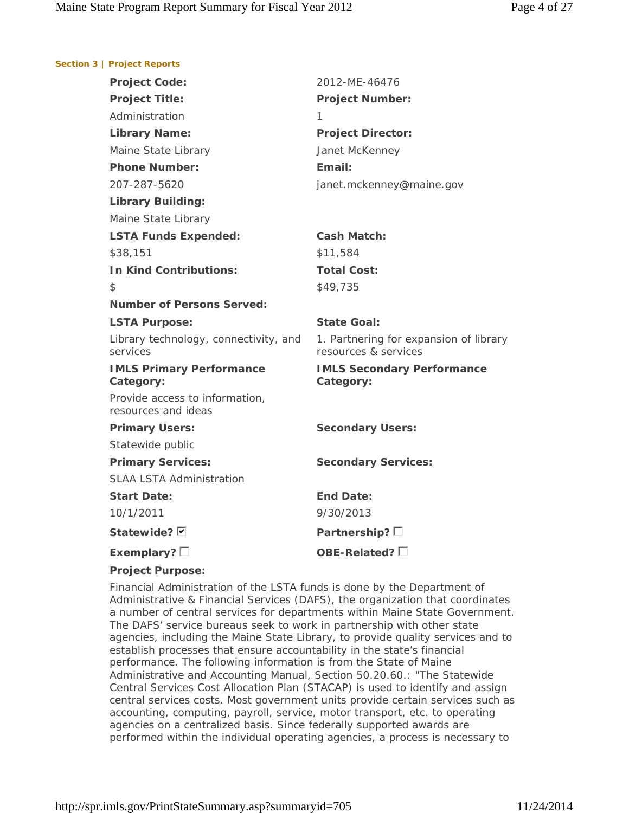#### **Section 3 | Project Reports**

| <b>Project Code:</b>                                  | 2012-ME-46476                                                  |
|-------------------------------------------------------|----------------------------------------------------------------|
| <b>Project Title:</b>                                 | <b>Project Number:</b>                                         |
| Administration                                        | 1                                                              |
| <b>Library Name:</b>                                  | <b>Project Director:</b>                                       |
| Maine State Library                                   | Janet McKenney                                                 |
| <b>Phone Number:</b>                                  | Email:                                                         |
| 207-287-5620                                          | janet.mckenney@maine.gov                                       |
| <b>Library Building:</b>                              |                                                                |
| Maine State Library                                   |                                                                |
| <b>LSTA Funds Expended:</b>                           | <b>Cash Match:</b>                                             |
| \$38,151                                              | \$11,584                                                       |
| <b>In Kind Contributions:</b>                         | <b>Total Cost:</b>                                             |
| \$                                                    | \$49,735                                                       |
| <b>Number of Persons Served:</b>                      |                                                                |
| <b>LSTA Purpose:</b>                                  | <b>State Goal:</b>                                             |
| Library technology, connectivity, and<br>services     | 1. Partnering for expansion of library<br>resources & services |
| <b>IMLS Primary Performance</b><br>Category:          | <b>IMLS Secondary Performance</b><br>Category:                 |
|                                                       |                                                                |
| Provide access to information,<br>resources and ideas |                                                                |
| <b>Primary Users:</b>                                 | <b>Secondary Users:</b>                                        |
| Statewide public                                      |                                                                |
| <b>Primary Services:</b>                              | <b>Secondary Services:</b>                                     |
| <b>SLAA LSTA Administration</b>                       |                                                                |
| <b>Start Date:</b>                                    | End Date:                                                      |
| 10/1/2011                                             | 9/30/2013                                                      |
| Statewide? Ø                                          | Partnership? $\square$                                         |

#### **Project Purpose:**

Financial Administration of the LSTA funds is done by the Department of Administrative & Financial Services (DAFS), the organization that coordinates a number of central services for departments within Maine State Government. The DAFS' service bureaus seek to work in partnership with other state agencies, including the Maine State Library, to provide quality services and to establish processes that ensure accountability in the state's financial performance. The following information is from the State of Maine Administrative and Accounting Manual, Section 50.20.60.: "The Statewide Central Services Cost Allocation Plan (STACAP) is used to identify and assign central services costs. Most government units provide certain services such as accounting, computing, payroll, service, motor transport, etc. to operating agencies on a centralized basis. Since federally supported awards are performed within the individual operating agencies, a process is necessary to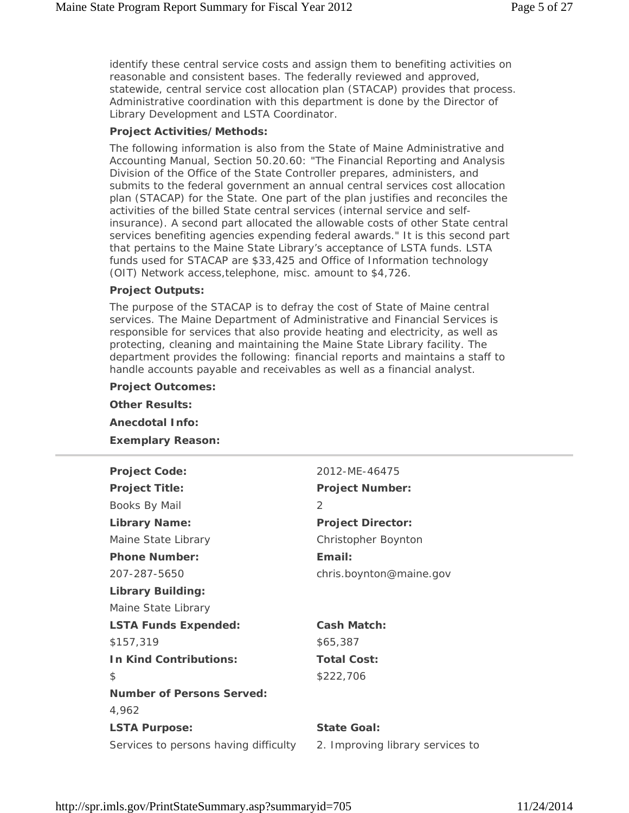identify these central service costs and assign them to benefiting activities on reasonable and consistent bases. The federally reviewed and approved, statewide, central service cost allocation plan (STACAP) provides that process. Administrative coordination with this department is done by the Director of Library Development and LSTA Coordinator.

#### **Project Activities/Methods:**

The following information is also from the State of Maine Administrative and Accounting Manual, Section 50.20.60: "The Financial Reporting and Analysis Division of the Office of the State Controller prepares, administers, and submits to the federal government an annual central services cost allocation plan (STACAP) for the State. One part of the plan justifies and reconciles the activities of the billed State central services (internal service and selfinsurance). A second part allocated the allowable costs of other State central services benefiting agencies expending federal awards." It is this second part that pertains to the Maine State Library's acceptance of LSTA funds. LSTA funds used for STACAP are \$33,425 and Office of Information technology (OIT) Network access,telephone, misc. amount to \$4,726.

#### **Project Outputs:**

The purpose of the STACAP is to defray the cost of State of Maine central services. The Maine Department of Administrative and Financial Services is responsible for services that also provide heating and electricity, as well as protecting, cleaning and maintaining the Maine State Library facility. The department provides the following: financial reports and maintains a staff to handle accounts payable and receivables as well as a financial analyst.

**Project Outcomes: Other Results: Anecdotal Info: Exemplary Reason:**

| 2012-MF-46475                    |
|----------------------------------|
| <b>Project Number:</b>           |
| 2                                |
| <b>Project Director:</b>         |
| Christopher Boynton              |
| Email:                           |
| chris.boynton@maine.gov          |
|                                  |
|                                  |
| <b>Cash Match:</b>               |
| \$65,387                         |
| <b>Total Cost:</b>               |
| \$222,706                        |
|                                  |
|                                  |
| <b>State Goal:</b>               |
| 2. Improving library services to |
|                                  |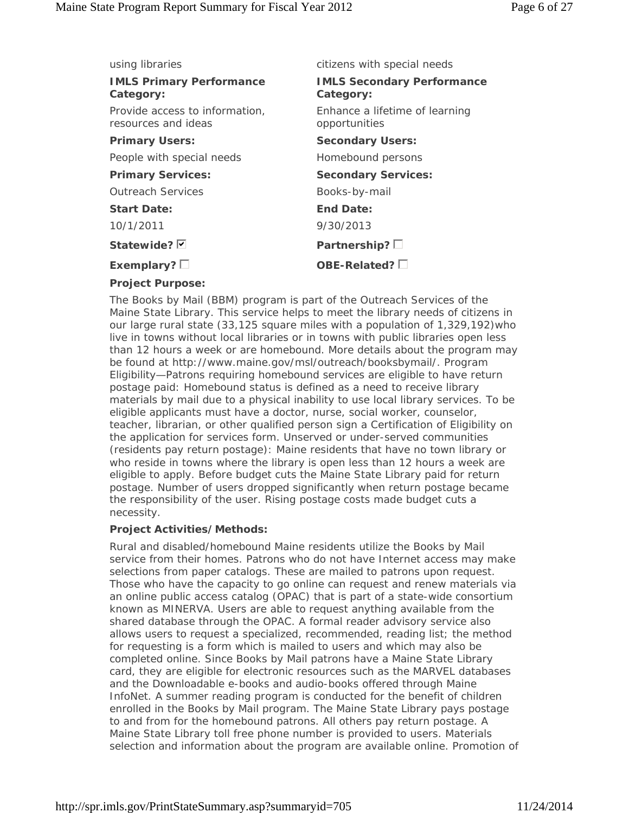| using libraries                                       | citizens with special needs                     |
|-------------------------------------------------------|-------------------------------------------------|
| <b>IMLS Primary Performance</b><br>Category:          | <b>IMLS Secondary Performance</b><br>Category:  |
| Provide access to information,<br>resources and ideas | Enhance a lifetime of learning<br>opportunities |
| <b>Primary Users:</b>                                 | <b>Secondary Users:</b>                         |
| People with special needs                             | Homebound persons                               |
| <b>Primary Services:</b>                              | <b>Secondary Services:</b>                      |
| <b>Outreach Services</b>                              | Books-by-mail                                   |
| <b>Start Date:</b>                                    | End Date:                                       |
| 10/1/2011                                             | 9/30/2013                                       |
| Statewide? <b>D</b>                                   | Partnership? $\square$                          |
| Exemplary? $\square$                                  | OBE-Related? $\square$                          |
| <b>Project Purpose:</b>                               |                                                 |

The Books by Mail (BBM) program is part of the Outreach Services of the Maine State Library. This service helps to meet the library needs of citizens in our large rural state (33,125 square miles with a population of 1,329,192)who live in towns without local libraries or in towns with public libraries open less than 12 hours a week or are homebound. More details about the program may be found at http://www.maine.gov/msl/outreach/booksbymail/. Program Eligibility—Patrons requiring homebound services are eligible to have return postage paid: Homebound status is defined as a need to receive library materials by mail due to a physical inability to use local library services. To be eligible applicants must have a doctor, nurse, social worker, counselor, teacher, librarian, or other qualified person sign a Certification of Eligibility on the application for services form. Unserved or under-served communities (residents pay return postage): Maine residents that have no town library or who reside in towns where the library is open less than 12 hours a week are eligible to apply. Before budget cuts the Maine State Library paid for return postage. Number of users dropped significantly when return postage became the responsibility of the user. Rising postage costs made budget cuts a necessity.

#### **Project Activities/Methods:**

Rural and disabled/homebound Maine residents utilize the Books by Mail service from their homes. Patrons who do not have Internet access may make selections from paper catalogs. These are mailed to patrons upon request. Those who have the capacity to go online can request and renew materials via an online public access catalog (OPAC) that is part of a state-wide consortium known as MINERVA. Users are able to request anything available from the shared database through the OPAC. A formal reader advisory service also allows users to request a specialized, recommended, reading list; the method for requesting is a form which is mailed to users and which may also be completed online. Since Books by Mail patrons have a Maine State Library card, they are eligible for electronic resources such as the MARVEL databases and the Downloadable e-books and audio-books offered through Maine InfoNet. A summer reading program is conducted for the benefit of children enrolled in the Books by Mail program. The Maine State Library pays postage to and from for the homebound patrons. All others pay return postage. A Maine State Library toll free phone number is provided to users. Materials selection and information about the program are available online. Promotion of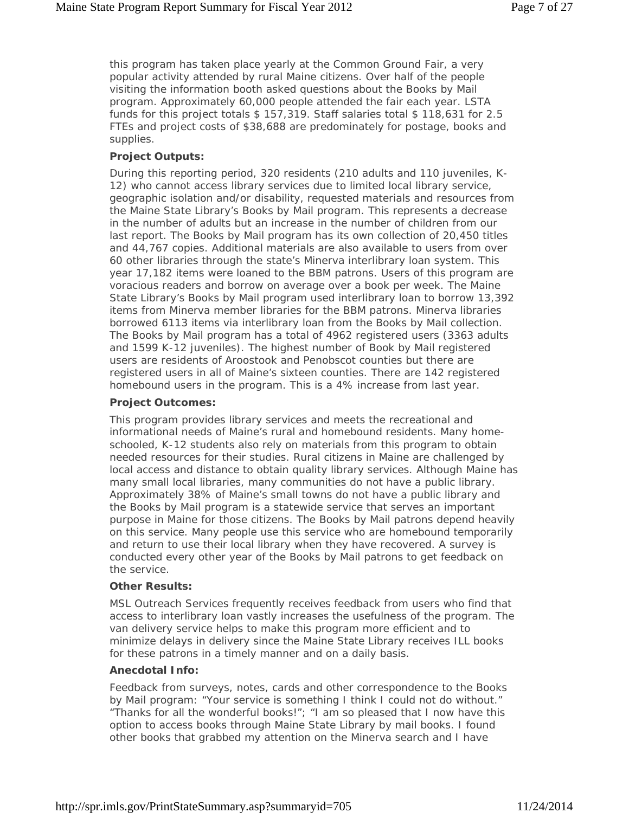this program has taken place yearly at the Common Ground Fair, a very popular activity attended by rural Maine citizens. Over half of the people visiting the information booth asked questions about the Books by Mail program. Approximately 60,000 people attended the fair each year. LSTA funds for this project totals \$ 157,319. Staff salaries total \$ 118,631 for 2.5 FTEs and project costs of \$38,688 are predominately for postage, books and supplies.

#### **Project Outputs:**

During this reporting period, 320 residents (210 adults and 110 juveniles, K-12) who cannot access library services due to limited local library service, geographic isolation and/or disability, requested materials and resources from the Maine State Library's Books by Mail program. This represents a decrease in the number of adults but an increase in the number of children from our last report. The Books by Mail program has its own collection of 20,450 titles and 44,767 copies. Additional materials are also available to users from over 60 other libraries through the state's Minerva interlibrary loan system. This year 17,182 items were loaned to the BBM patrons. Users of this program are voracious readers and borrow on average over a book per week. The Maine State Library's Books by Mail program used interlibrary loan to borrow 13,392 items from Minerva member libraries for the BBM patrons. Minerva libraries borrowed 6113 items via interlibrary loan from the Books by Mail collection. The Books by Mail program has a total of 4962 registered users (3363 adults and 1599 K-12 juveniles). The highest number of Book by Mail registered users are residents of Aroostook and Penobscot counties but there are registered users in all of Maine's sixteen counties. There are 142 registered homebound users in the program. This is a 4% increase from last year.

#### **Project Outcomes:**

This program provides library services and meets the recreational and informational needs of Maine's rural and homebound residents. Many homeschooled, K-12 students also rely on materials from this program to obtain needed resources for their studies. Rural citizens in Maine are challenged by local access and distance to obtain quality library services. Although Maine has many small local libraries, many communities do not have a public library. Approximately 38% of Maine's small towns do not have a public library and the Books by Mail program is a statewide service that serves an important purpose in Maine for those citizens. The Books by Mail patrons depend heavily on this service. Many people use this service who are homebound temporarily and return to use their local library when they have recovered. A survey is conducted every other year of the Books by Mail patrons to get feedback on the service.

#### **Other Results:**

MSL Outreach Services frequently receives feedback from users who find that access to interlibrary loan vastly increases the usefulness of the program. The van delivery service helps to make this program more efficient and to minimize delays in delivery since the Maine State Library receives ILL books for these patrons in a timely manner and on a daily basis.

#### **Anecdotal Info:**

Feedback from surveys, notes, cards and other correspondence to the Books by Mail program: "Your service is something I think I could not do without." "Thanks for all the wonderful books!"; "I am so pleased that I now have this option to access books through Maine State Library by mail books. I found other books that grabbed my attention on the Minerva search and I have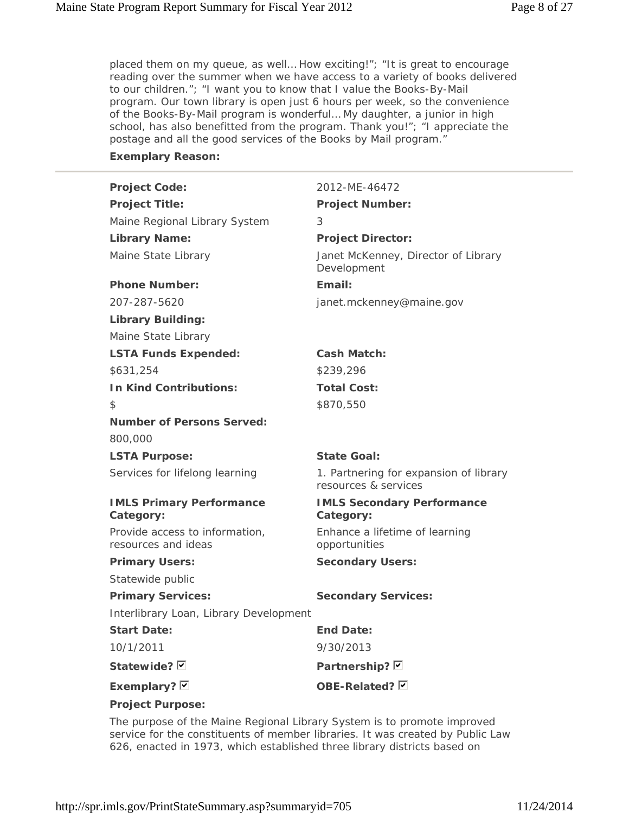placed them on my queue, as well… How exciting!"; "It is great to encourage reading over the summer when we have access to a variety of books delivered to our children."; "I want you to know that I value the Books-By-Mail program. Our town library is open just 6 hours per week, so the convenience of the Books-By-Mail program is wonderful… My daughter, a junior in high school, has also benefitted from the program. Thank you!"; "I appreciate the postage and all the good services of the Books by Mail program."

#### **Exemplary Reason:**

| <b>Project Code:</b>                                  | 2012-ME-46472                                                  |
|-------------------------------------------------------|----------------------------------------------------------------|
| <b>Project Title:</b>                                 | <b>Project Number:</b>                                         |
| Maine Regional Library System                         | 3                                                              |
| <b>Library Name:</b>                                  | <b>Project Director:</b>                                       |
| Maine State Library                                   | Janet McKenney, Director of Library<br>Development             |
| <b>Phone Number:</b>                                  | Email:                                                         |
| 207-287-5620                                          | janet.mckenney@maine.gov                                       |
| <b>Library Building:</b>                              |                                                                |
| Maine State Library                                   |                                                                |
| <b>LSTA Funds Expended:</b>                           | <b>Cash Match:</b>                                             |
| \$631,254                                             | \$239,296                                                      |
| <b>In Kind Contributions:</b>                         | <b>Total Cost:</b>                                             |
| \$                                                    | \$870,550                                                      |
| <b>Number of Persons Served:</b>                      |                                                                |
| 800,000                                               |                                                                |
| <b>LSTA Purpose:</b>                                  | <b>State Goal:</b>                                             |
| Services for lifelong learning                        | 1. Partnering for expansion of library<br>resources & services |
| <b>IMLS Primary Performance</b><br>Category:          | <b>IMLS Secondary Performance</b><br>Category:                 |
| Provide access to information,<br>resources and ideas | Enhance a lifetime of learning<br>opportunities                |
| <b>Primary Users:</b>                                 | <b>Secondary Users:</b>                                        |
| Statewide public                                      |                                                                |
| <b>Primary Services:</b>                              | <b>Secondary Services:</b>                                     |
| Interlibrary Loan, Library Development                |                                                                |
| <b>Start Date:</b>                                    | <b>End Date:</b>                                               |
| 10/1/2011                                             | 9/30/2013                                                      |
| Statewide? Ø                                          | Partnership? <b>D</b>                                          |
| Exemplary? $\nabla$                                   | OBE-Related? Ø                                                 |

**Project Purpose:**

The purpose of the Maine Regional Library System is to promote improved service for the constituents of member libraries. It was created by Public Law 626, enacted in 1973, which established three library districts based on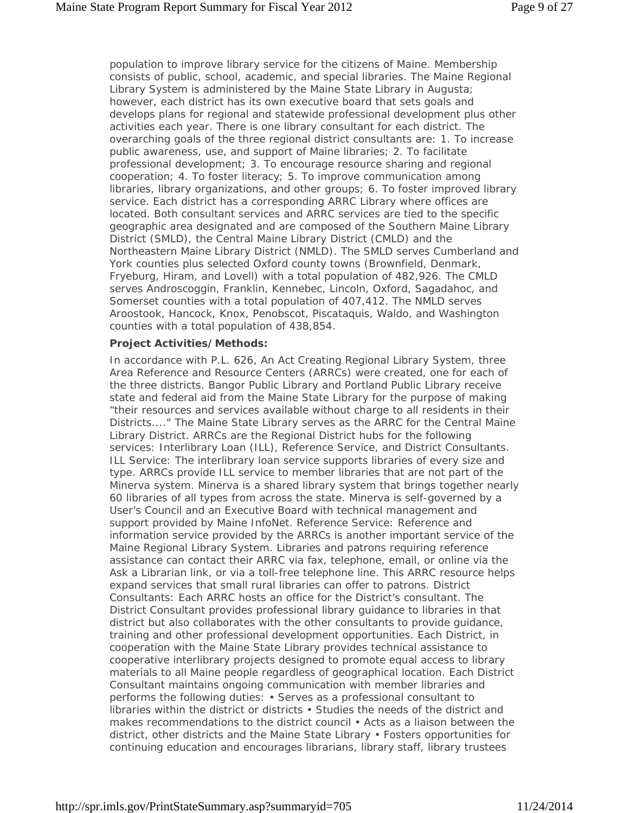population to improve library service for the citizens of Maine. Membership consists of public, school, academic, and special libraries. The Maine Regional Library System is administered by the Maine State Library in Augusta; however, each district has its own executive board that sets goals and develops plans for regional and statewide professional development plus other activities each year. There is one library consultant for each district. The overarching goals of the three regional district consultants are: 1. To increase public awareness, use, and support of Maine libraries; 2. To facilitate professional development; 3. To encourage resource sharing and regional cooperation; 4. To foster literacy; 5. To improve communication among libraries, library organizations, and other groups; 6. To foster improved library service. Each district has a corresponding ARRC Library where offices are located. Both consultant services and ARRC services are tied to the specific geographic area designated and are composed of the Southern Maine Library District (SMLD), the Central Maine Library District (CMLD) and the Northeastern Maine Library District (NMLD). The SMLD serves Cumberland and York counties plus selected Oxford county towns (Brownfield, Denmark, Fryeburg, Hiram, and Lovell) with a total population of 482,926. The CMLD serves Androscoggin, Franklin, Kennebec, Lincoln, Oxford, Sagadahoc, and Somerset counties with a total population of 407,412. The NMLD serves Aroostook, Hancock, Knox, Penobscot, Piscataquis, Waldo, and Washington counties with a total population of 438,854.

#### **Project Activities/Methods:**

In accordance with P.L. 626, An Act Creating Regional Library System, three Area Reference and Resource Centers (ARRCs) were created, one for each of the three districts. Bangor Public Library and Portland Public Library receive state and federal aid from the Maine State Library for the purpose of making "their resources and services available without charge to all residents in their Districts...." The Maine State Library serves as the ARRC for the Central Maine Library District. ARRCs are the Regional District hubs for the following services: Interlibrary Loan (ILL), Reference Service, and District Consultants. ILL Service: The interlibrary loan service supports libraries of every size and type. ARRCs provide ILL service to member libraries that are not part of the Minerva system. Minerva is a shared library system that brings together nearly 60 libraries of all types from across the state. Minerva is self-governed by a User's Council and an Executive Board with technical management and support provided by Maine InfoNet. Reference Service: Reference and information service provided by the ARRCs is another important service of the Maine Regional Library System. Libraries and patrons requiring reference assistance can contact their ARRC via fax, telephone, email, or online via the Ask a Librarian link, or via a toll-free telephone line. This ARRC resource helps expand services that small rural libraries can offer to patrons. District Consultants: Each ARRC hosts an office for the District's consultant. The District Consultant provides professional library guidance to libraries in that district but also collaborates with the other consultants to provide guidance, training and other professional development opportunities. Each District, in cooperation with the Maine State Library provides technical assistance to cooperative interlibrary projects designed to promote equal access to library materials to all Maine people regardless of geographical location. Each District Consultant maintains ongoing communication with member libraries and performs the following duties: • Serves as a professional consultant to libraries within the district or districts • Studies the needs of the district and makes recommendations to the district council • Acts as a liaison between the district, other districts and the Maine State Library • Fosters opportunities for continuing education and encourages librarians, library staff, library trustees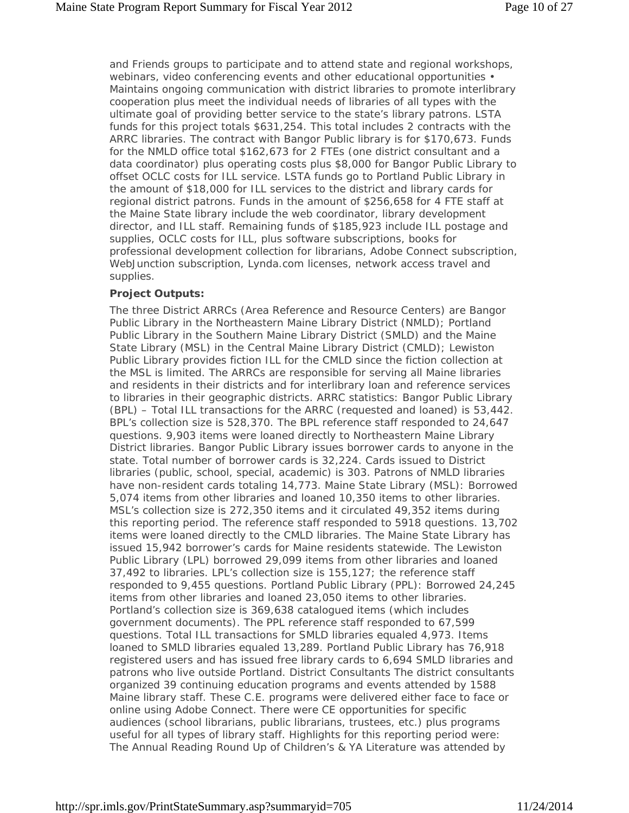and Friends groups to participate and to attend state and regional workshops, webinars, video conferencing events and other educational opportunities • Maintains ongoing communication with district libraries to promote interlibrary cooperation plus meet the individual needs of libraries of all types with the ultimate goal of providing better service to the state's library patrons. LSTA funds for this project totals \$631,254. This total includes 2 contracts with the ARRC libraries. The contract with Bangor Public library is for \$170,673. Funds for the NMLD office total \$162,673 for 2 FTEs (one district consultant and a data coordinator) plus operating costs plus \$8,000 for Bangor Public Library to offset OCLC costs for ILL service. LSTA funds go to Portland Public Library in the amount of \$18,000 for ILL services to the district and library cards for regional district patrons. Funds in the amount of \$256,658 for 4 FTE staff at the Maine State library include the web coordinator, library development director, and ILL staff. Remaining funds of \$185,923 include ILL postage and supplies, OCLC costs for ILL, plus software subscriptions, books for professional development collection for librarians, Adobe Connect subscription, WebJunction subscription, Lynda.com licenses, network access travel and supplies.

### **Project Outputs:**

The three District ARRCs (Area Reference and Resource Centers) are Bangor Public Library in the Northeastern Maine Library District (NMLD); Portland Public Library in the Southern Maine Library District (SMLD) and the Maine State Library (MSL) in the Central Maine Library District (CMLD); Lewiston Public Library provides fiction ILL for the CMLD since the fiction collection at the MSL is limited. The ARRCs are responsible for serving all Maine libraries and residents in their districts and for interlibrary loan and reference services to libraries in their geographic districts. ARRC statistics: Bangor Public Library (BPL) – Total ILL transactions for the ARRC (requested and loaned) is 53,442. BPL's collection size is 528,370. The BPL reference staff responded to 24,647 questions. 9,903 items were loaned directly to Northeastern Maine Library District libraries. Bangor Public Library issues borrower cards to anyone in the state. Total number of borrower cards is 32,224. Cards issued to District libraries (public, school, special, academic) is 303. Patrons of NMLD libraries have non-resident cards totaling 14,773. Maine State Library (MSL): Borrowed 5,074 items from other libraries and loaned 10,350 items to other libraries. MSL's collection size is 272,350 items and it circulated 49,352 items during this reporting period. The reference staff responded to 5918 questions. 13,702 items were loaned directly to the CMLD libraries. The Maine State Library has issued 15,942 borrower's cards for Maine residents statewide. The Lewiston Public Library (LPL) borrowed 29,099 items from other libraries and loaned 37,492 to libraries. LPL's collection size is 155,127; the reference staff responded to 9,455 questions. Portland Public Library (PPL): Borrowed 24,245 items from other libraries and loaned 23,050 items to other libraries. Portland's collection size is 369,638 catalogued items (which includes government documents). The PPL reference staff responded to 67,599 questions. Total ILL transactions for SMLD libraries equaled 4,973. Items loaned to SMLD libraries equaled 13,289. Portland Public Library has 76,918 registered users and has issued free library cards to 6,694 SMLD libraries and patrons who live outside Portland. District Consultants The district consultants organized 39 continuing education programs and events attended by 1588 Maine library staff. These C.E. programs were delivered either face to face or online using Adobe Connect. There were CE opportunities for specific audiences (school librarians, public librarians, trustees, etc.) plus programs useful for all types of library staff. Highlights for this reporting period were: The Annual Reading Round Up of Children's & YA Literature was attended by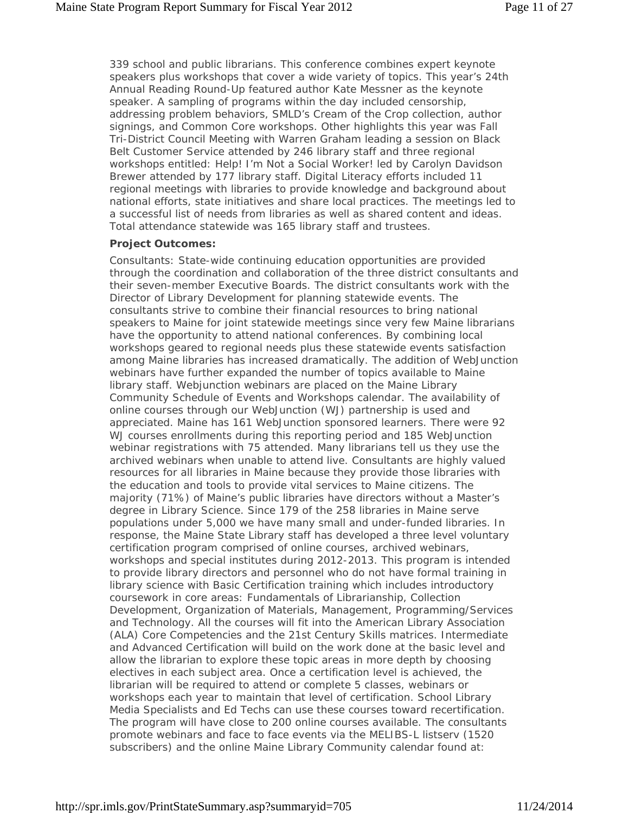339 school and public librarians. This conference combines expert keynote speakers plus workshops that cover a wide variety of topics. This year's 24th Annual Reading Round-Up featured author Kate Messner as the keynote speaker. A sampling of programs within the day included censorship, addressing problem behaviors, SMLD's Cream of the Crop collection, author signings, and Common Core workshops. Other highlights this year was Fall Tri-District Council Meeting with Warren Graham leading a session on Black Belt Customer Service attended by 246 library staff and three regional workshops entitled: Help! I'm Not a Social Worker! led by Carolyn Davidson Brewer attended by 177 library staff. Digital Literacy efforts included 11 regional meetings with libraries to provide knowledge and background about national efforts, state initiatives and share local practices. The meetings led to a successful list of needs from libraries as well as shared content and ideas. Total attendance statewide was 165 library staff and trustees.

#### **Project Outcomes:**

Consultants: State-wide continuing education opportunities are provided through the coordination and collaboration of the three district consultants and their seven-member Executive Boards. The district consultants work with the Director of Library Development for planning statewide events. The consultants strive to combine their financial resources to bring national speakers to Maine for joint statewide meetings since very few Maine librarians have the opportunity to attend national conferences. By combining local workshops geared to regional needs plus these statewide events satisfaction among Maine libraries has increased dramatically. The addition of WebJunction webinars have further expanded the number of topics available to Maine library staff. Webjunction webinars are placed on the Maine Library Community Schedule of Events and Workshops calendar. The availability of online courses through our WebJunction (WJ) partnership is used and appreciated. Maine has 161 WebJunction sponsored learners. There were 92 WJ courses enrollments during this reporting period and 185 WebJunction webinar registrations with 75 attended. Many librarians tell us they use the archived webinars when unable to attend live. Consultants are highly valued resources for all libraries in Maine because they provide those libraries with the education and tools to provide vital services to Maine citizens. The majority (71%) of Maine's public libraries have directors without a Master's degree in Library Science. Since 179 of the 258 libraries in Maine serve populations under 5,000 we have many small and under-funded libraries. In response, the Maine State Library staff has developed a three level voluntary certification program comprised of online courses, archived webinars, workshops and special institutes during 2012-2013. This program is intended to provide library directors and personnel who do not have formal training in library science with Basic Certification training which includes introductory coursework in core areas: Fundamentals of Librarianship, Collection Development, Organization of Materials, Management, Programming/Services and Technology. All the courses will fit into the American Library Association (ALA) Core Competencies and the 21st Century Skills matrices. Intermediate and Advanced Certification will build on the work done at the basic level and allow the librarian to explore these topic areas in more depth by choosing electives in each subject area. Once a certification level is achieved, the librarian will be required to attend or complete 5 classes, webinars or workshops each year to maintain that level of certification. School Library Media Specialists and Ed Techs can use these courses toward recertification. The program will have close to 200 online courses available. The consultants promote webinars and face to face events via the MELIBS-L listserv (1520 subscribers) and the online Maine Library Community calendar found at: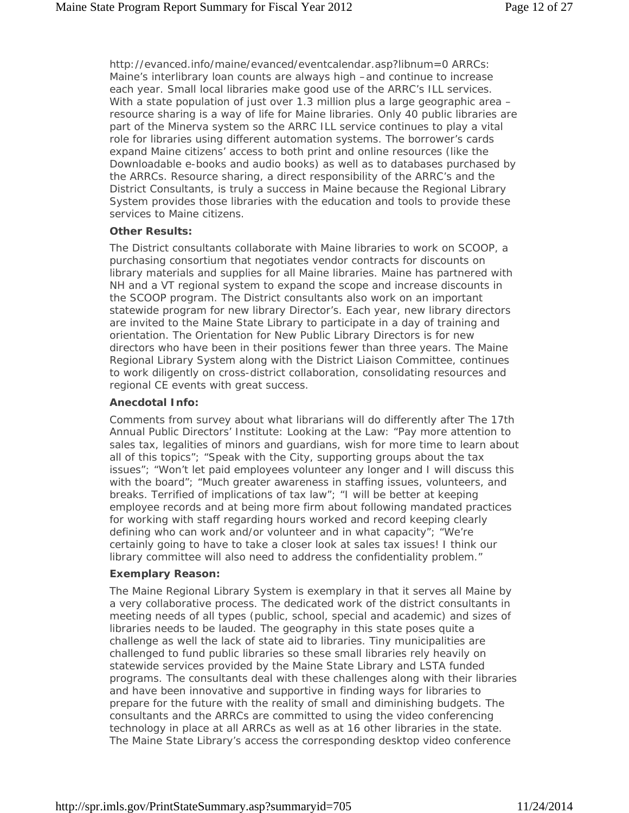http://evanced.info/maine/evanced/eventcalendar.asp?libnum=0 ARRCs: Maine's interlibrary loan counts are always high –and continue to increase each year. Small local libraries make good use of the ARRC's ILL services. With a state population of just over 1.3 million plus a large geographic area resource sharing is a way of life for Maine libraries. Only 40 public libraries are part of the Minerva system so the ARRC ILL service continues to play a vital role for libraries using different automation systems. The borrower's cards expand Maine citizens' access to both print and online resources (like the Downloadable e-books and audio books) as well as to databases purchased by the ARRCs. Resource sharing, a direct responsibility of the ARRC's and the District Consultants, is truly a success in Maine because the Regional Library System provides those libraries with the education and tools to provide these services to Maine citizens.

#### **Other Results:**

The District consultants collaborate with Maine libraries to work on SCOOP, a purchasing consortium that negotiates vendor contracts for discounts on library materials and supplies for all Maine libraries. Maine has partnered with NH and a VT regional system to expand the scope and increase discounts in the SCOOP program. The District consultants also work on an important statewide program for new library Director's. Each year, new library directors are invited to the Maine State Library to participate in a day of training and orientation. The Orientation for New Public Library Directors is for new directors who have been in their positions fewer than three years. The Maine Regional Library System along with the District Liaison Committee, continues to work diligently on cross-district collaboration, consolidating resources and regional CE events with great success.

### **Anecdotal Info:**

Comments from survey about what librarians will do differently after The 17th Annual Public Directors' Institute: Looking at the Law: "Pay more attention to sales tax, legalities of minors and guardians, wish for more time to learn about all of this topics"; "Speak with the City, supporting groups about the tax issues"; "Won't let paid employees volunteer any longer and I will discuss this with the board"; "Much greater awareness in staffing issues, volunteers, and breaks. Terrified of implications of tax law"; "I will be better at keeping employee records and at being more firm about following mandated practices for working with staff regarding hours worked and record keeping clearly defining who can work and/or volunteer and in what capacity"; "We're certainly going to have to take a closer look at sales tax issues! I think our library committee will also need to address the confidentiality problem."

### **Exemplary Reason:**

The Maine Regional Library System is exemplary in that it serves all Maine by a very collaborative process. The dedicated work of the district consultants in meeting needs of all types (public, school, special and academic) and sizes of libraries needs to be lauded. The geography in this state poses quite a challenge as well the lack of state aid to libraries. Tiny municipalities are challenged to fund public libraries so these small libraries rely heavily on statewide services provided by the Maine State Library and LSTA funded programs. The consultants deal with these challenges along with their libraries and have been innovative and supportive in finding ways for libraries to prepare for the future with the reality of small and diminishing budgets. The consultants and the ARRCs are committed to using the video conferencing technology in place at all ARRCs as well as at 16 other libraries in the state. The Maine State Library's access the corresponding desktop video conference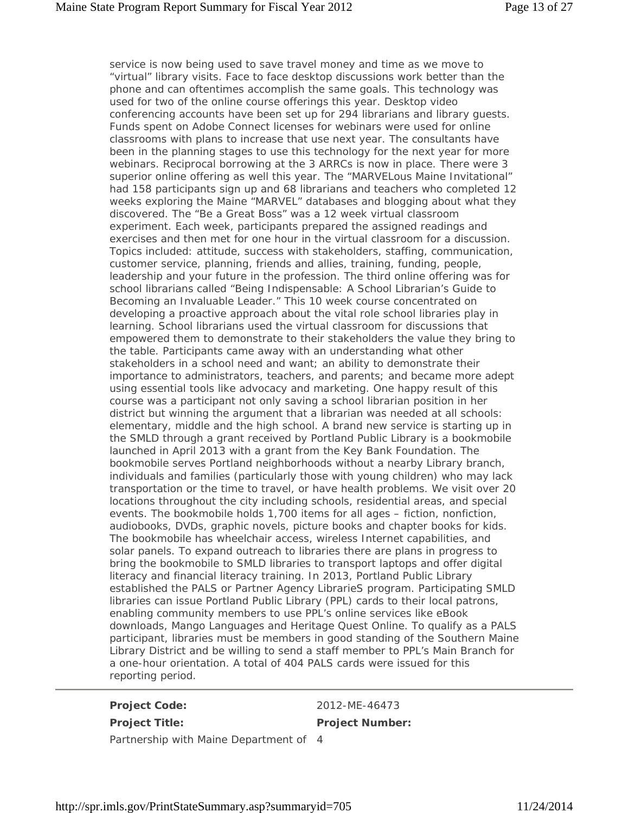service is now being used to save travel money and time as we move to "virtual" library visits. Face to face desktop discussions work better than the phone and can oftentimes accomplish the same goals. This technology was used for two of the online course offerings this year. Desktop video conferencing accounts have been set up for 294 librarians and library guests. Funds spent on Adobe Connect licenses for webinars were used for online classrooms with plans to increase that use next year. The consultants have been in the planning stages to use this technology for the next year for more webinars. Reciprocal borrowing at the 3 ARRCs is now in place. There were 3 superior online offering as well this year. The "MARVELous Maine Invitational" had 158 participants sign up and 68 librarians and teachers who completed 12 weeks exploring the Maine "MARVEL" databases and blogging about what they discovered. The "Be a Great Boss" was a 12 week virtual classroom experiment. Each week, participants prepared the assigned readings and exercises and then met for one hour in the virtual classroom for a discussion. Topics included: attitude, success with stakeholders, staffing, communication, customer service, planning, friends and allies, training, funding, people, leadership and your future in the profession. The third online offering was for school librarians called "Being Indispensable: A School Librarian's Guide to Becoming an Invaluable Leader." This 10 week course concentrated on developing a proactive approach about the vital role school libraries play in learning. School librarians used the virtual classroom for discussions that empowered them to demonstrate to their stakeholders the value they bring to the table. Participants came away with an understanding what other stakeholders in a school need and want; an ability to demonstrate their importance to administrators, teachers, and parents; and became more adept using essential tools like advocacy and marketing. One happy result of this course was a participant not only saving a school librarian position in her district but winning the argument that a librarian was needed at all schools: elementary, middle and the high school. A brand new service is starting up in the SMLD through a grant received by Portland Public Library is a bookmobile launched in April 2013 with a grant from the Key Bank Foundation. The bookmobile serves Portland neighborhoods without a nearby Library branch, individuals and families (particularly those with young children) who may lack transportation or the time to travel, or have health problems. We visit over 20 locations throughout the city including schools, residential areas, and special events. The bookmobile holds 1,700 items for all ages – fiction, nonfiction, audiobooks, DVDs, graphic novels, picture books and chapter books for kids. The bookmobile has wheelchair access, wireless Internet capabilities, and solar panels. To expand outreach to libraries there are plans in progress to bring the bookmobile to SMLD libraries to transport laptops and offer digital literacy and financial literacy training. In 2013, Portland Public Library established the PALS or Partner Agency LibrarieS program. Participating SMLD libraries can issue Portland Public Library (PPL) cards to their local patrons, enabling community members to use PPL's online services like eBook downloads, Mango Languages and Heritage Quest Online. To qualify as a PALS participant, libraries must be members in good standing of the Southern Maine Library District and be willing to send a staff member to PPL's Main Branch for a one-hour orientation. A total of 404 PALS cards were issued for this reporting period.

**Project Code:** 2012-ME-46473

**Project Title: Project Number:**

Partnership with Maine Department of 4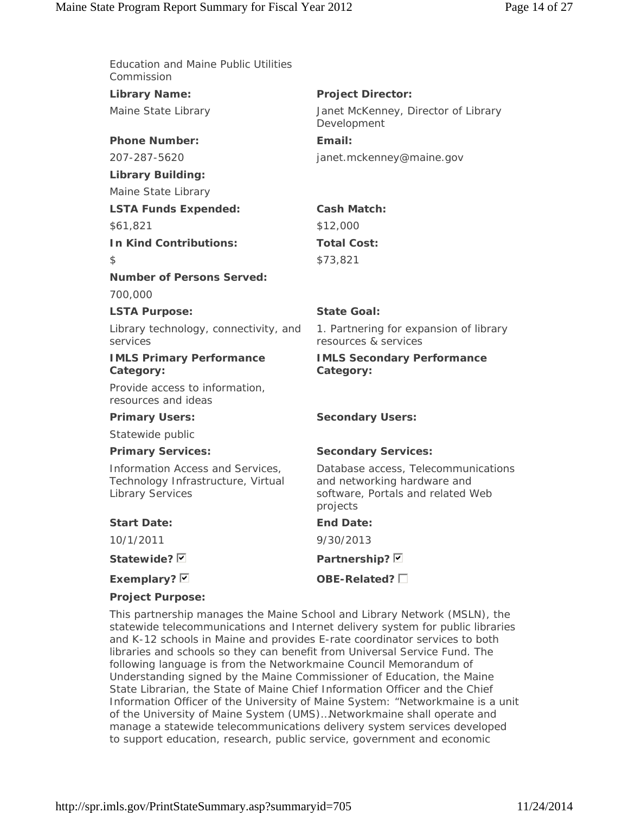| <b>Education and Maine Public Utilities</b><br>Commission                                         |                                                                                                                     |
|---------------------------------------------------------------------------------------------------|---------------------------------------------------------------------------------------------------------------------|
| <b>Library Name:</b>                                                                              | <b>Project Director:</b>                                                                                            |
| Maine State Library                                                                               | Janet McKenney, Director of Library<br>Development                                                                  |
| <b>Phone Number:</b>                                                                              | Email:                                                                                                              |
| 207-287-5620                                                                                      | janet.mckenney@maine.gov                                                                                            |
| <b>Library Building:</b>                                                                          |                                                                                                                     |
| Maine State Library                                                                               |                                                                                                                     |
| <b>LSTA Funds Expended:</b>                                                                       | <b>Cash Match:</b>                                                                                                  |
| \$61,821                                                                                          | \$12,000                                                                                                            |
| <b>In Kind Contributions:</b>                                                                     | <b>Total Cost:</b>                                                                                                  |
| \$                                                                                                | \$73,821                                                                                                            |
| <b>Number of Persons Served:</b>                                                                  |                                                                                                                     |
| 700,000                                                                                           |                                                                                                                     |
| <b>LSTA Purpose:</b>                                                                              | <b>State Goal:</b>                                                                                                  |
| Library technology, connectivity, and<br>services                                                 | 1. Partnering for expansion of library<br>resources & services                                                      |
| <b>IMLS Primary Performance</b><br>Category:                                                      | <b>IMLS Secondary Performance</b><br>Category:                                                                      |
| Provide access to information,<br>resources and ideas                                             |                                                                                                                     |
| <b>Primary Users:</b>                                                                             | <b>Secondary Users:</b>                                                                                             |
| Statewide public                                                                                  |                                                                                                                     |
| <b>Primary Services:</b>                                                                          | <b>Secondary Services:</b>                                                                                          |
| Information Access and Services,<br>Technology Infrastructure, Virtual<br><b>Library Services</b> | Database access, Telecommunications<br>and networking hardware and<br>software, Portals and related Web<br>projects |
| <b>Start Date:</b>                                                                                | <b>End Date:</b>                                                                                                    |
| 10/1/2011                                                                                         | 9/30/2013                                                                                                           |
| Statewide? <b>D</b>                                                                               | Partnership? Ø                                                                                                      |
| Exemplary? Ø                                                                                      | OBE-Related?                                                                                                        |
|                                                                                                   |                                                                                                                     |

**Project Purpose:**

This partnership manages the Maine School and Library Network (MSLN), the statewide telecommunications and Internet delivery system for public libraries and K-12 schools in Maine and provides E-rate coordinator services to both libraries and schools so they can benefit from Universal Service Fund. The following language is from the Networkmaine Council Memorandum of Understanding signed by the Maine Commissioner of Education, the Maine State Librarian, the State of Maine Chief Information Officer and the Chief Information Officer of the University of Maine System: "Networkmaine is a unit of the University of Maine System (UMS)…Networkmaine shall operate and manage a statewide telecommunications delivery system services developed to support education, research, public service, government and economic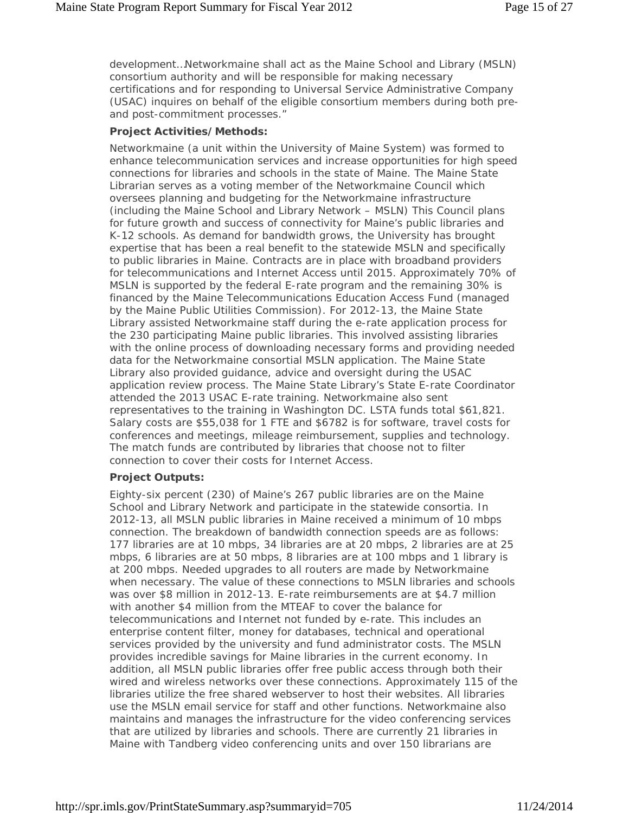development…Networkmaine shall act as the Maine School and Library (MSLN) consortium authority and will be responsible for making necessary certifications and for responding to Universal Service Administrative Company (USAC) inquires on behalf of the eligible consortium members during both preand post-commitment processes."

#### **Project Activities/Methods:**

Networkmaine (a unit within the University of Maine System) was formed to enhance telecommunication services and increase opportunities for high speed connections for libraries and schools in the state of Maine. The Maine State Librarian serves as a voting member of the Networkmaine Council which oversees planning and budgeting for the Networkmaine infrastructure (including the Maine School and Library Network – MSLN) This Council plans for future growth and success of connectivity for Maine's public libraries and K-12 schools. As demand for bandwidth grows, the University has brought expertise that has been a real benefit to the statewide MSLN and specifically to public libraries in Maine. Contracts are in place with broadband providers for telecommunications and Internet Access until 2015. Approximately 70% of MSLN is supported by the federal E-rate program and the remaining 30% is financed by the Maine Telecommunications Education Access Fund (managed by the Maine Public Utilities Commission). For 2012-13, the Maine State Library assisted Networkmaine staff during the e-rate application process for the 230 participating Maine public libraries. This involved assisting libraries with the online process of downloading necessary forms and providing needed data for the Networkmaine consortial MSLN application. The Maine State Library also provided guidance, advice and oversight during the USAC application review process. The Maine State Library's State E-rate Coordinator attended the 2013 USAC E-rate training. Networkmaine also sent representatives to the training in Washington DC. LSTA funds total \$61,821. Salary costs are \$55,038 for 1 FTE and \$6782 is for software, travel costs for conferences and meetings, mileage reimbursement, supplies and technology. The match funds are contributed by libraries that choose not to filter connection to cover their costs for Internet Access.

### **Project Outputs:**

Eighty-six percent (230) of Maine's 267 public libraries are on the Maine School and Library Network and participate in the statewide consortia. In 2012-13, all MSLN public libraries in Maine received a minimum of 10 mbps connection. The breakdown of bandwidth connection speeds are as follows: 177 libraries are at 10 mbps, 34 libraries are at 20 mbps, 2 libraries are at 25 mbps, 6 libraries are at 50 mbps, 8 libraries are at 100 mbps and 1 library is at 200 mbps. Needed upgrades to all routers are made by Networkmaine when necessary. The value of these connections to MSLN libraries and schools was over \$8 million in 2012-13. E-rate reimbursements are at \$4.7 million with another \$4 million from the MTEAF to cover the balance for telecommunications and Internet not funded by e-rate. This includes an enterprise content filter, money for databases, technical and operational services provided by the university and fund administrator costs. The MSLN provides incredible savings for Maine libraries in the current economy. In addition, all MSLN public libraries offer free public access through both their wired and wireless networks over these connections. Approximately 115 of the libraries utilize the free shared webserver to host their websites. All libraries use the MSLN email service for staff and other functions. Networkmaine also maintains and manages the infrastructure for the video conferencing services that are utilized by libraries and schools. There are currently 21 libraries in Maine with Tandberg video conferencing units and over 150 librarians are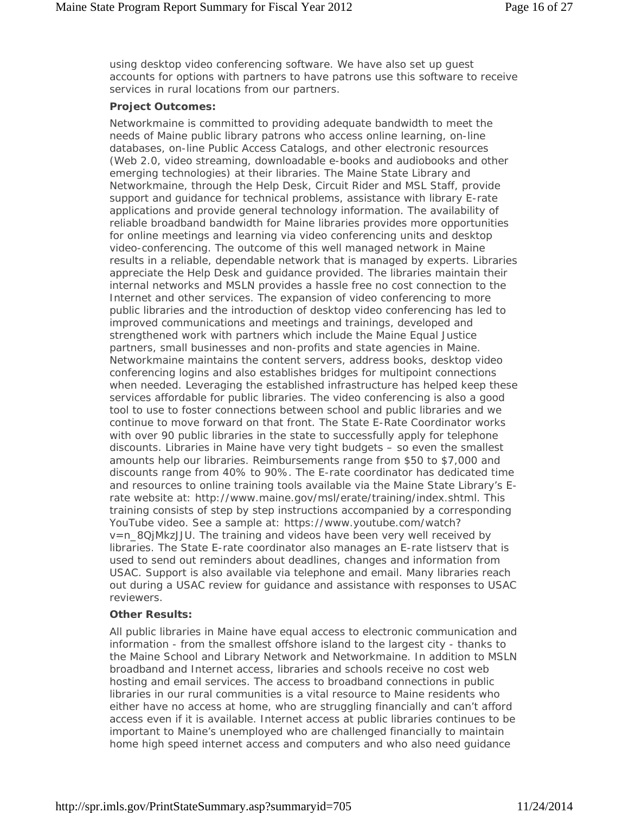using desktop video conferencing software. We have also set up guest accounts for options with partners to have patrons use this software to receive services in rural locations from our partners.

#### **Project Outcomes:**

Networkmaine is committed to providing adequate bandwidth to meet the needs of Maine public library patrons who access online learning, on-line databases, on-line Public Access Catalogs, and other electronic resources (Web 2.0, video streaming, downloadable e-books and audiobooks and other emerging technologies) at their libraries. The Maine State Library and Networkmaine, through the Help Desk, Circuit Rider and MSL Staff, provide support and guidance for technical problems, assistance with library E-rate applications and provide general technology information. The availability of reliable broadband bandwidth for Maine libraries provides more opportunities for online meetings and learning via video conferencing units and desktop video-conferencing. The outcome of this well managed network in Maine results in a reliable, dependable network that is managed by experts. Libraries appreciate the Help Desk and guidance provided. The libraries maintain their internal networks and MSLN provides a hassle free no cost connection to the Internet and other services. The expansion of video conferencing to more public libraries and the introduction of desktop video conferencing has led to improved communications and meetings and trainings, developed and strengthened work with partners which include the Maine Equal Justice partners, small businesses and non-profits and state agencies in Maine. Networkmaine maintains the content servers, address books, desktop video conferencing logins and also establishes bridges for multipoint connections when needed. Leveraging the established infrastructure has helped keep these services affordable for public libraries. The video conferencing is also a good tool to use to foster connections between school and public libraries and we continue to move forward on that front. The State E-Rate Coordinator works with over 90 public libraries in the state to successfully apply for telephone discounts. Libraries in Maine have very tight budgets – so even the smallest amounts help our libraries. Reimbursements range from \$50 to \$7,000 and discounts range from 40% to 90%. The E-rate coordinator has dedicated time and resources to online training tools available via the Maine State Library's Erate website at: http://www.maine.gov/msl/erate/training/index.shtml. This training consists of step by step instructions accompanied by a corresponding YouTube video. See a sample at: https://www.youtube.com/watch? v=n\_8QjMkzJJU. The training and videos have been very well received by libraries. The State E-rate coordinator also manages an E-rate listserv that is used to send out reminders about deadlines, changes and information from USAC. Support is also available via telephone and email. Many libraries reach out during a USAC review for guidance and assistance with responses to USAC reviewers.

#### **Other Results:**

All public libraries in Maine have equal access to electronic communication and information - from the smallest offshore island to the largest city - thanks to the Maine School and Library Network and Networkmaine. In addition to MSLN broadband and Internet access, libraries and schools receive no cost web hosting and email services. The access to broadband connections in public libraries in our rural communities is a vital resource to Maine residents who either have no access at home, who are struggling financially and can't afford access even if it is available. Internet access at public libraries continues to be important to Maine's unemployed who are challenged financially to maintain home high speed internet access and computers and who also need guidance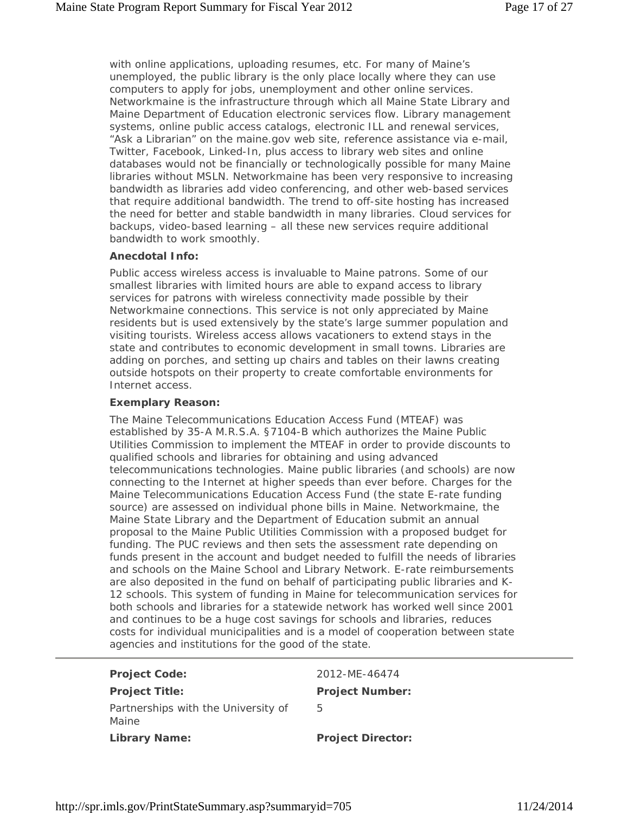with online applications, uploading resumes, etc. For many of Maine's unemployed, the public library is the only place locally where they can use computers to apply for jobs, unemployment and other online services. Networkmaine is the infrastructure through which all Maine State Library and Maine Department of Education electronic services flow. Library management systems, online public access catalogs, electronic ILL and renewal services, "Ask a Librarian" on the maine.gov web site, reference assistance via e-mail, Twitter, Facebook, Linked-In, plus access to library web sites and online databases would not be financially or technologically possible for many Maine libraries without MSLN. Networkmaine has been very responsive to increasing bandwidth as libraries add video conferencing, and other web-based services that require additional bandwidth. The trend to off-site hosting has increased the need for better and stable bandwidth in many libraries. Cloud services for backups, video-based learning – all these new services require additional bandwidth to work smoothly.

#### **Anecdotal Info:**

Public access wireless access is invaluable to Maine patrons. Some of our smallest libraries with limited hours are able to expand access to library services for patrons with wireless connectivity made possible by their Networkmaine connections. This service is not only appreciated by Maine residents but is used extensively by the state's large summer population and visiting tourists. Wireless access allows vacationers to extend stays in the state and contributes to economic development in small towns. Libraries are adding on porches, and setting up chairs and tables on their lawns creating outside hotspots on their property to create comfortable environments for Internet access.

#### **Exemplary Reason:**

The Maine Telecommunications Education Access Fund (MTEAF) was established by 35-A M.R.S.A. §7104-B which authorizes the Maine Public Utilities Commission to implement the MTEAF in order to provide discounts to qualified schools and libraries for obtaining and using advanced telecommunications technologies. Maine public libraries (and schools) are now connecting to the Internet at higher speeds than ever before. Charges for the Maine Telecommunications Education Access Fund (the state E-rate funding source) are assessed on individual phone bills in Maine. Networkmaine, the Maine State Library and the Department of Education submit an annual proposal to the Maine Public Utilities Commission with a proposed budget for funding. The PUC reviews and then sets the assessment rate depending on funds present in the account and budget needed to fulfill the needs of libraries and schools on the Maine School and Library Network. E-rate reimbursements are also deposited in the fund on behalf of participating public libraries and K-12 schools. This system of funding in Maine for telecommunication services for both schools and libraries for a statewide network has worked well since 2001 and continues to be a huge cost savings for schools and libraries, reduces costs for individual municipalities and is a model of cooperation between state agencies and institutions for the good of the state.

| <b>Project Code:</b>                         | 2012-MF-46474            |
|----------------------------------------------|--------------------------|
| <b>Project Title:</b>                        | <b>Project Number:</b>   |
| Partnerships with the University of<br>Maine | 5                        |
| <b>Library Name:</b>                         | <b>Project Director:</b> |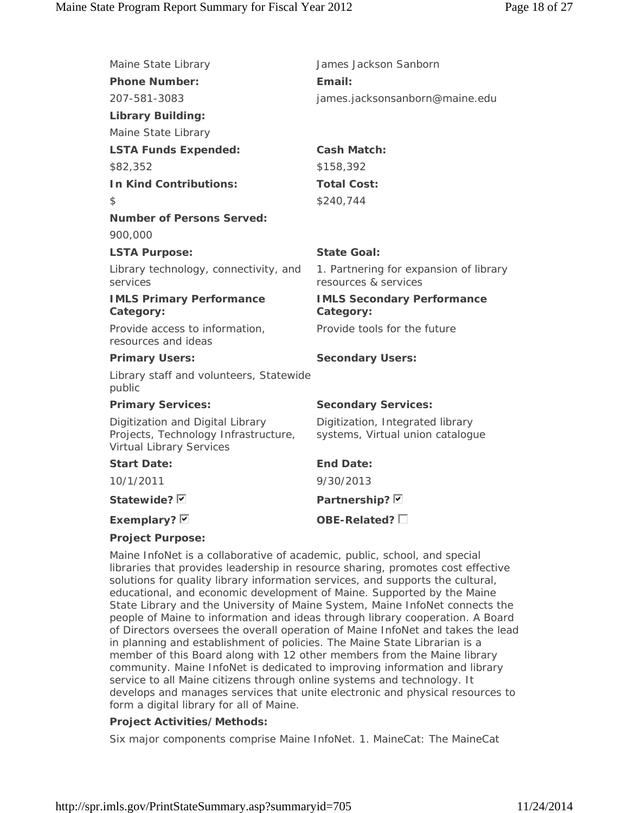| Maine State Library                                                                                         | James Jackson Sanborn                                                |
|-------------------------------------------------------------------------------------------------------------|----------------------------------------------------------------------|
| <b>Phone Number:</b>                                                                                        | Email:                                                               |
| 207-581-3083                                                                                                | james.jacksonsanborn@maine.edu                                       |
| <b>Library Building:</b>                                                                                    |                                                                      |
| Maine State Library                                                                                         |                                                                      |
| <b>LSTA Funds Expended:</b>                                                                                 | <b>Cash Match:</b>                                                   |
| \$82,352                                                                                                    | \$158,392                                                            |
| <b>In Kind Contributions:</b>                                                                               | <b>Total Cost:</b>                                                   |
| \$                                                                                                          | \$240,744                                                            |
| <b>Number of Persons Served:</b>                                                                            |                                                                      |
| 900,000                                                                                                     |                                                                      |
| <b>LSTA Purpose:</b>                                                                                        | State Goal:                                                          |
| Library technology, connectivity, and<br>services                                                           | 1. Partnering for expansion of library<br>resources & services       |
| <b>IMLS Primary Performance</b><br>Category:                                                                | <b>IMLS Secondary Performance</b><br>Category:                       |
| Provide access to information,<br>resources and ideas                                                       | Provide tools for the future                                         |
| <b>Primary Users:</b>                                                                                       | <b>Secondary Users:</b>                                              |
| Library staff and volunteers, Statewide<br>public                                                           |                                                                      |
| <b>Primary Services:</b>                                                                                    | <b>Secondary Services:</b>                                           |
| Digitization and Digital Library<br>Projects, Technology Infrastructure,<br><b>Virtual Library Services</b> | Digitization, Integrated library<br>systems, Virtual union catalogue |
| <b>Start Date:</b>                                                                                          | <b>End Date:</b>                                                     |
| 10/1/2011                                                                                                   | 9/30/2013                                                            |
| Statewide? Ø                                                                                                | Partnership? D                                                       |
| Exemplary? $\boxdot$                                                                                        | OBE-Related? $\square$                                               |
| <b>Project Purpose:</b>                                                                                     |                                                                      |

### **Project Purpose:**

Maine InfoNet is a collaborative of academic, public, school, and special libraries that provides leadership in resource sharing, promotes cost effective solutions for quality library information services, and supports the cultural, educational, and economic development of Maine. Supported by the Maine State Library and the University of Maine System, Maine InfoNet connects the people of Maine to information and ideas through library cooperation. A Board of Directors oversees the overall operation of Maine InfoNet and takes the lead in planning and establishment of policies. The Maine State Librarian is a member of this Board along with 12 other members from the Maine library community. Maine InfoNet is dedicated to improving information and library service to all Maine citizens through online systems and technology. It develops and manages services that unite electronic and physical resources to form a digital library for all of Maine.

### **Project Activities/Methods:**

Six major components comprise Maine InfoNet. 1. MaineCat: The MaineCat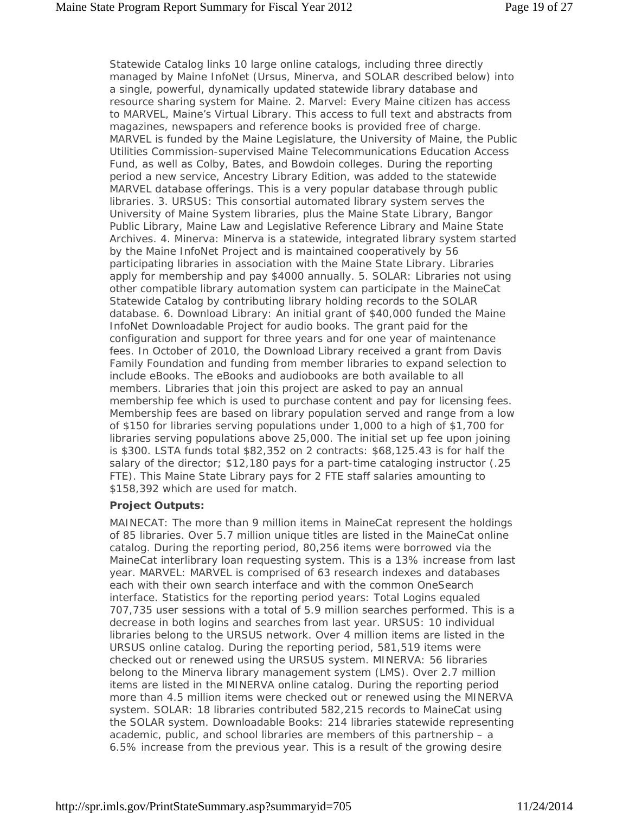Statewide Catalog links 10 large online catalogs, including three directly managed by Maine InfoNet (Ursus, Minerva, and SOLAR described below) into a single, powerful, dynamically updated statewide library database and resource sharing system for Maine. 2. Marvel: Every Maine citizen has access to MARVEL, Maine's Virtual Library. This access to full text and abstracts from magazines, newspapers and reference books is provided free of charge. MARVEL is funded by the Maine Legislature, the University of Maine, the Public Utilities Commission-supervised Maine Telecommunications Education Access Fund, as well as Colby, Bates, and Bowdoin colleges. During the reporting period a new service, Ancestry Library Edition, was added to the statewide MARVEL database offerings. This is a very popular database through public libraries. 3. URSUS: This consortial automated library system serves the University of Maine System libraries, plus the Maine State Library, Bangor Public Library, Maine Law and Legislative Reference Library and Maine State Archives. 4. Minerva: Minerva is a statewide, integrated library system started by the Maine InfoNet Project and is maintained cooperatively by 56 participating libraries in association with the Maine State Library. Libraries apply for membership and pay \$4000 annually. 5. SOLAR: Libraries not using other compatible library automation system can participate in the MaineCat Statewide Catalog by contributing library holding records to the SOLAR database. 6. Download Library: An initial grant of \$40,000 funded the Maine InfoNet Downloadable Project for audio books. The grant paid for the configuration and support for three years and for one year of maintenance fees. In October of 2010, the Download Library received a grant from Davis Family Foundation and funding from member libraries to expand selection to include eBooks. The eBooks and audiobooks are both available to all members. Libraries that join this project are asked to pay an annual membership fee which is used to purchase content and pay for licensing fees. Membership fees are based on library population served and range from a low of \$150 for libraries serving populations under 1,000 to a high of \$1,700 for libraries serving populations above 25,000. The initial set up fee upon joining is \$300. LSTA funds total \$82,352 on 2 contracts: \$68,125.43 is for half the salary of the director; \$12,180 pays for a part-time cataloging instructor (.25 FTE). This Maine State Library pays for 2 FTE staff salaries amounting to \$158,392 which are used for match.

#### **Project Outputs:**

MAINECAT: The more than 9 million items in MaineCat represent the holdings of 85 libraries. Over 5.7 million unique titles are listed in the MaineCat online catalog. During the reporting period, 80,256 items were borrowed via the MaineCat interlibrary loan requesting system. This is a 13% increase from last year. MARVEL: MARVEL is comprised of 63 research indexes and databases each with their own search interface and with the common OneSearch interface. Statistics for the reporting period years: Total Logins equaled 707,735 user sessions with a total of 5.9 million searches performed. This is a decrease in both logins and searches from last year. URSUS: 10 individual libraries belong to the URSUS network. Over 4 million items are listed in the URSUS online catalog. During the reporting period, 581,519 items were checked out or renewed using the URSUS system. MINERVA: 56 libraries belong to the Minerva library management system (LMS). Over 2.7 million items are listed in the MINERVA online catalog. During the reporting period more than 4.5 million items were checked out or renewed using the MINERVA system. SOLAR: 18 libraries contributed 582,215 records to MaineCat using the SOLAR system. Downloadable Books: 214 libraries statewide representing academic, public, and school libraries are members of this partnership – a 6.5% increase from the previous year. This is a result of the growing desire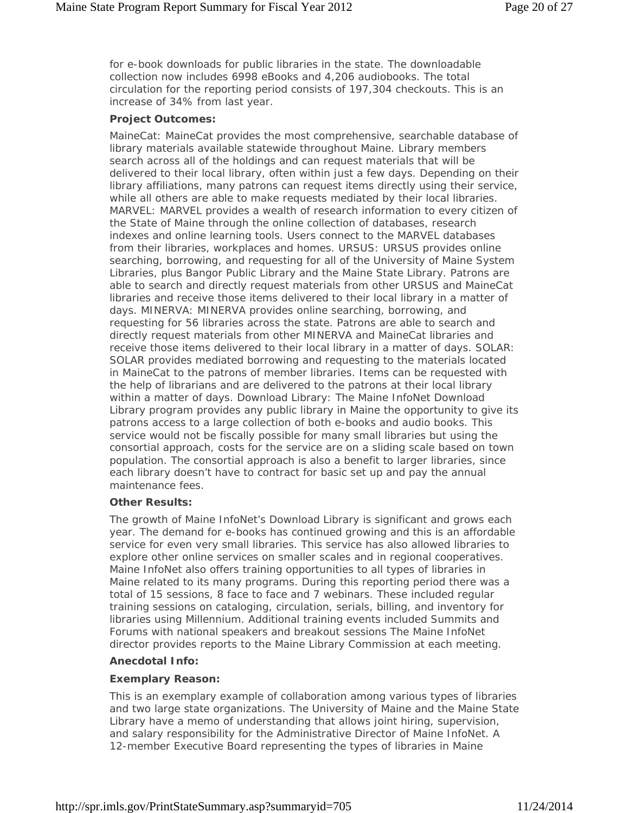for e-book downloads for public libraries in the state. The downloadable collection now includes 6998 eBooks and 4,206 audiobooks. The total circulation for the reporting period consists of 197,304 checkouts. This is an increase of 34% from last year.

#### **Project Outcomes:**

MaineCat: MaineCat provides the most comprehensive, searchable database of library materials available statewide throughout Maine. Library members search across all of the holdings and can request materials that will be delivered to their local library, often within just a few days. Depending on their library affiliations, many patrons can request items directly using their service, while all others are able to make requests mediated by their local libraries. MARVEL: MARVEL provides a wealth of research information to every citizen of the State of Maine through the online collection of databases, research indexes and online learning tools. Users connect to the MARVEL databases from their libraries, workplaces and homes. URSUS: URSUS provides online searching, borrowing, and requesting for all of the University of Maine System Libraries, plus Bangor Public Library and the Maine State Library. Patrons are able to search and directly request materials from other URSUS and MaineCat libraries and receive those items delivered to their local library in a matter of days. MINERVA: MINERVA provides online searching, borrowing, and requesting for 56 libraries across the state. Patrons are able to search and directly request materials from other MINERVA and MaineCat libraries and receive those items delivered to their local library in a matter of days. SOLAR: SOLAR provides mediated borrowing and requesting to the materials located in MaineCat to the patrons of member libraries. Items can be requested with the help of librarians and are delivered to the patrons at their local library within a matter of days. Download Library: The Maine InfoNet Download Library program provides any public library in Maine the opportunity to give its patrons access to a large collection of both e-books and audio books. This service would not be fiscally possible for many small libraries but using the consortial approach, costs for the service are on a sliding scale based on town population. The consortial approach is also a benefit to larger libraries, since each library doesn't have to contract for basic set up and pay the annual maintenance fees.

#### **Other Results:**

The growth of Maine InfoNet's Download Library is significant and grows each year. The demand for e-books has continued growing and this is an affordable service for even very small libraries. This service has also allowed libraries to explore other online services on smaller scales and in regional cooperatives. Maine InfoNet also offers training opportunities to all types of libraries in Maine related to its many programs. During this reporting period there was a total of 15 sessions, 8 face to face and 7 webinars. These included regular training sessions on cataloging, circulation, serials, billing, and inventory for libraries using Millennium. Additional training events included Summits and Forums with national speakers and breakout sessions The Maine InfoNet director provides reports to the Maine Library Commission at each meeting.

### **Anecdotal Info:**

### **Exemplary Reason:**

This is an exemplary example of collaboration among various types of libraries and two large state organizations. The University of Maine and the Maine State Library have a memo of understanding that allows joint hiring, supervision, and salary responsibility for the Administrative Director of Maine InfoNet. A 12-member Executive Board representing the types of libraries in Maine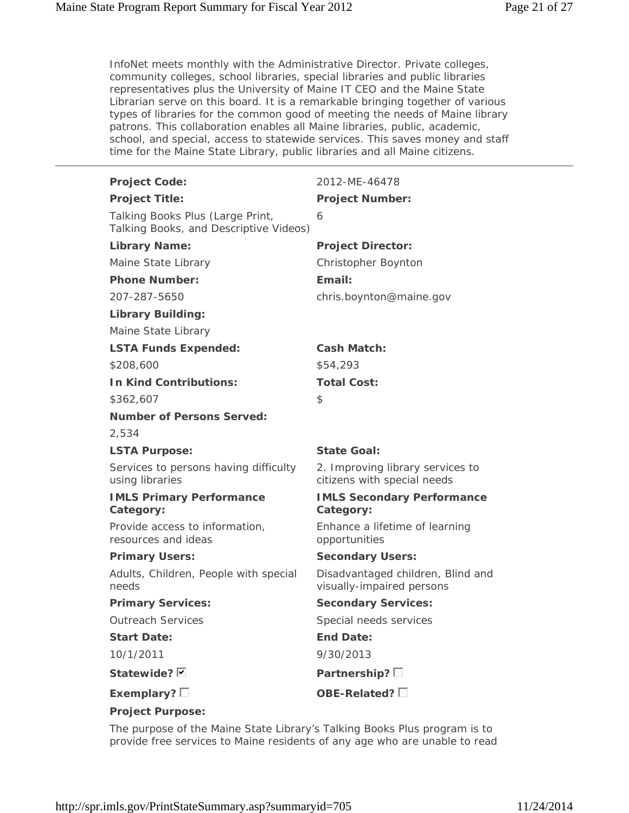InfoNet meets monthly with the Administrative Director. Private colleges, community colleges, school libraries, special libraries and public libraries representatives plus the University of Maine IT CEO and the Maine State Librarian serve on this board. It is a remarkable bringing together of various types of libraries for the common good of meeting the needs of Maine library patrons. This collaboration enables all Maine libraries, public, academic, school, and special, access to statewide services. This saves money and staff time for the Maine State Library, public libraries and all Maine citizens.

| <b>Project Code:</b>                                                       | 2012-ME-46478                                                   |
|----------------------------------------------------------------------------|-----------------------------------------------------------------|
| <b>Project Title:</b>                                                      | <b>Project Number:</b>                                          |
| Talking Books Plus (Large Print,<br>Talking Books, and Descriptive Videos) | 6                                                               |
| <b>Library Name:</b>                                                       | <b>Project Director:</b>                                        |
| Maine State Library                                                        | Christopher Boynton                                             |
| <b>Phone Number:</b>                                                       | Email:                                                          |
| 207-287-5650                                                               | chris.boynton@maine.gov                                         |
| <b>Library Building:</b>                                                   |                                                                 |
| Maine State Library                                                        |                                                                 |
| <b>LSTA Funds Expended:</b>                                                | <b>Cash Match:</b>                                              |
| \$208,600                                                                  | \$54,293                                                        |
| <b>In Kind Contributions:</b>                                              | <b>Total Cost:</b>                                              |
| \$362,607                                                                  | \$                                                              |
| <b>Number of Persons Served:</b>                                           |                                                                 |
| 2,534                                                                      |                                                                 |
| <b>LSTA Purpose:</b>                                                       | <b>State Goal:</b>                                              |
| Services to persons having difficulty<br>using libraries                   | 2. Improving library services to<br>citizens with special needs |
| <b>IMLS Primary Performance</b><br>Category:                               | <b>IMLS Secondary Performance</b><br>Category:                  |
| Provide access to information,<br>resources and ideas                      | Enhance a lifetime of learning<br>opportunities                 |
| <b>Primary Users:</b>                                                      | <b>Secondary Users:</b>                                         |
| Adults, Children, People with special<br>needs                             | Disadvantaged children, Blind and<br>visually-impaired persons  |
| <b>Primary Services:</b>                                                   | <b>Secondary Services:</b>                                      |
| <b>Outreach Services</b>                                                   | Special needs services                                          |
| <b>Start Date:</b>                                                         | <b>End Date:</b>                                                |
| 10/1/2011                                                                  | 9/30/2013                                                       |
| Statewide? Ø                                                               | Partnership? $\square$                                          |
| Exemplary? $\square$                                                       | OBE-Related? $\square$                                          |
| <b>Project Purpose:</b>                                                    |                                                                 |

The purpose of the Maine State Library's Talking Books Plus program is to provide free services to Maine residents of any age who are unable to read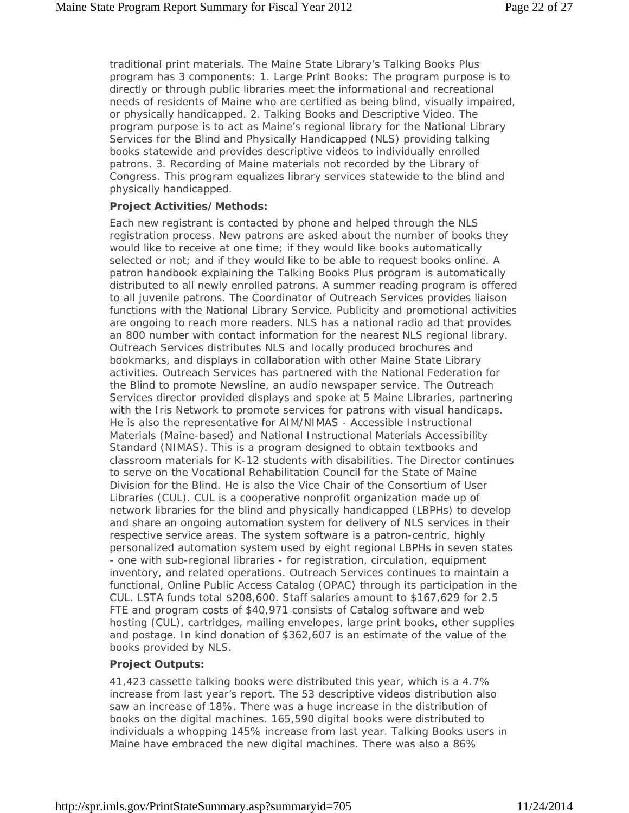traditional print materials. The Maine State Library's Talking Books Plus program has 3 components: 1. Large Print Books: The program purpose is to directly or through public libraries meet the informational and recreational needs of residents of Maine who are certified as being blind, visually impaired, or physically handicapped. 2. Talking Books and Descriptive Video. The program purpose is to act as Maine's regional library for the National Library Services for the Blind and Physically Handicapped (NLS) providing talking books statewide and provides descriptive videos to individually enrolled patrons. 3. Recording of Maine materials not recorded by the Library of Congress. This program equalizes library services statewide to the blind and physically handicapped.

#### **Project Activities/Methods:**

Each new registrant is contacted by phone and helped through the NLS registration process. New patrons are asked about the number of books they would like to receive at one time; if they would like books automatically selected or not; and if they would like to be able to request books online. A patron handbook explaining the Talking Books Plus program is automatically distributed to all newly enrolled patrons. A summer reading program is offered to all juvenile patrons. The Coordinator of Outreach Services provides liaison functions with the National Library Service. Publicity and promotional activities are ongoing to reach more readers. NLS has a national radio ad that provides an 800 number with contact information for the nearest NLS regional library. Outreach Services distributes NLS and locally produced brochures and bookmarks, and displays in collaboration with other Maine State Library activities. Outreach Services has partnered with the National Federation for the Blind to promote Newsline, an audio newspaper service. The Outreach Services director provided displays and spoke at 5 Maine Libraries, partnering with the Iris Network to promote services for patrons with visual handicaps. He is also the representative for AIM/NIMAS - Accessible Instructional Materials (Maine-based) and National Instructional Materials Accessibility Standard (NIMAS). This is a program designed to obtain textbooks and classroom materials for K-12 students with disabilities. The Director continues to serve on the Vocational Rehabilitation Council for the State of Maine Division for the Blind. He is also the Vice Chair of the Consortium of User Libraries (CUL). CUL is a cooperative nonprofit organization made up of network libraries for the blind and physically handicapped (LBPHs) to develop and share an ongoing automation system for delivery of NLS services in their respective service areas. The system software is a patron-centric, highly personalized automation system used by eight regional LBPHs in seven states - one with sub-regional libraries - for registration, circulation, equipment inventory, and related operations. Outreach Services continues to maintain a functional, Online Public Access Catalog (OPAC) through its participation in the CUL. LSTA funds total \$208,600. Staff salaries amount to \$167,629 for 2.5 FTE and program costs of \$40,971 consists of Catalog software and web hosting (CUL), cartridges, mailing envelopes, large print books, other supplies and postage. In kind donation of \$362,607 is an estimate of the value of the books provided by NLS.

### **Project Outputs:**

41,423 cassette talking books were distributed this year, which is a 4.7% increase from last year's report. The 53 descriptive videos distribution also saw an increase of 18%. There was a huge increase in the distribution of books on the digital machines. 165,590 digital books were distributed to individuals a whopping 145% increase from last year. Talking Books users in Maine have embraced the new digital machines. There was also a 86%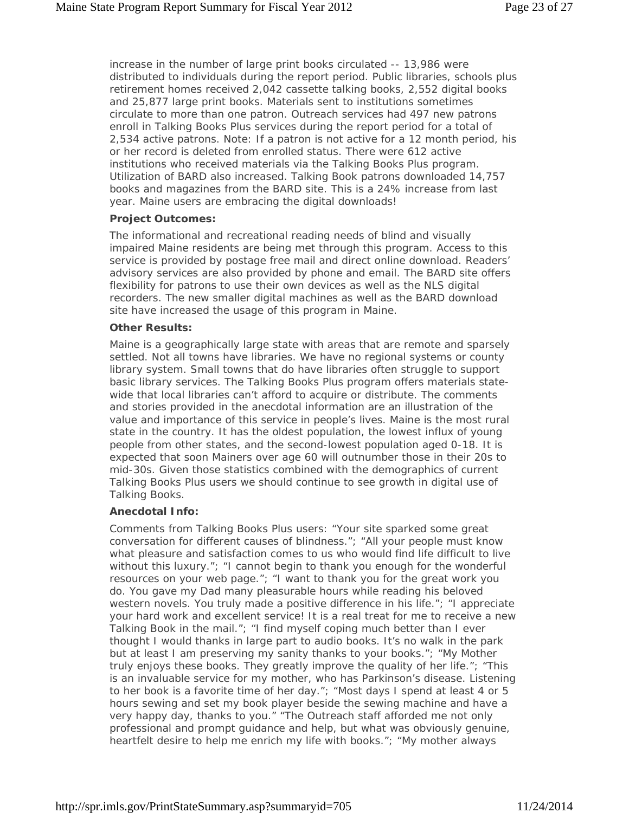increase in the number of large print books circulated -- 13,986 were distributed to individuals during the report period. Public libraries, schools plus retirement homes received 2,042 cassette talking books, 2,552 digital books and 25,877 large print books. Materials sent to institutions sometimes circulate to more than one patron. Outreach services had 497 new patrons enroll in Talking Books Plus services during the report period for a total of 2,534 active patrons. Note: If a patron is not active for a 12 month period, his or her record is deleted from enrolled status. There were 612 active institutions who received materials via the Talking Books Plus program. Utilization of BARD also increased. Talking Book patrons downloaded 14,757 books and magazines from the BARD site. This is a 24% increase from last year. Maine users are embracing the digital downloads!

#### **Project Outcomes:**

The informational and recreational reading needs of blind and visually impaired Maine residents are being met through this program. Access to this service is provided by postage free mail and direct online download. Readers' advisory services are also provided by phone and email. The BARD site offers flexibility for patrons to use their own devices as well as the NLS digital recorders. The new smaller digital machines as well as the BARD download site have increased the usage of this program in Maine.

#### **Other Results:**

Maine is a geographically large state with areas that are remote and sparsely settled. Not all towns have libraries. We have no regional systems or county library system. Small towns that do have libraries often struggle to support basic library services. The Talking Books Plus program offers materials statewide that local libraries can't afford to acquire or distribute. The comments and stories provided in the anecdotal information are an illustration of the value and importance of this service in people's lives. Maine is the most rural state in the country. It has the oldest population, the lowest influx of young people from other states, and the second-lowest population aged 0-18. It is expected that soon Mainers over age 60 will outnumber those in their 20s to mid-30s. Given those statistics combined with the demographics of current Talking Books Plus users we should continue to see growth in digital use of Talking Books.

#### **Anecdotal Info:**

Comments from Talking Books Plus users: "Your site sparked some great conversation for different causes of blindness."; "All your people must know what pleasure and satisfaction comes to us who would find life difficult to live without this luxury."; "I cannot begin to thank you enough for the wonderful resources on your web page."; "I want to thank you for the great work you do. You gave my Dad many pleasurable hours while reading his beloved western novels. You truly made a positive difference in his life."; "I appreciate your hard work and excellent service! It is a real treat for me to receive a new Talking Book in the mail."; "I find myself coping much better than I ever thought I would thanks in large part to audio books. It's no walk in the park but at least I am preserving my sanity thanks to your books."; "My Mother truly enjoys these books. They greatly improve the quality of her life."; "This is an invaluable service for my mother, who has Parkinson's disease. Listening to her book is a favorite time of her day."; "Most days I spend at least 4 or 5 hours sewing and set my book player beside the sewing machine and have a very happy day, thanks to you." "The Outreach staff afforded me not only professional and prompt guidance and help, but what was obviously genuine, heartfelt desire to help me enrich my life with books."; "My mother always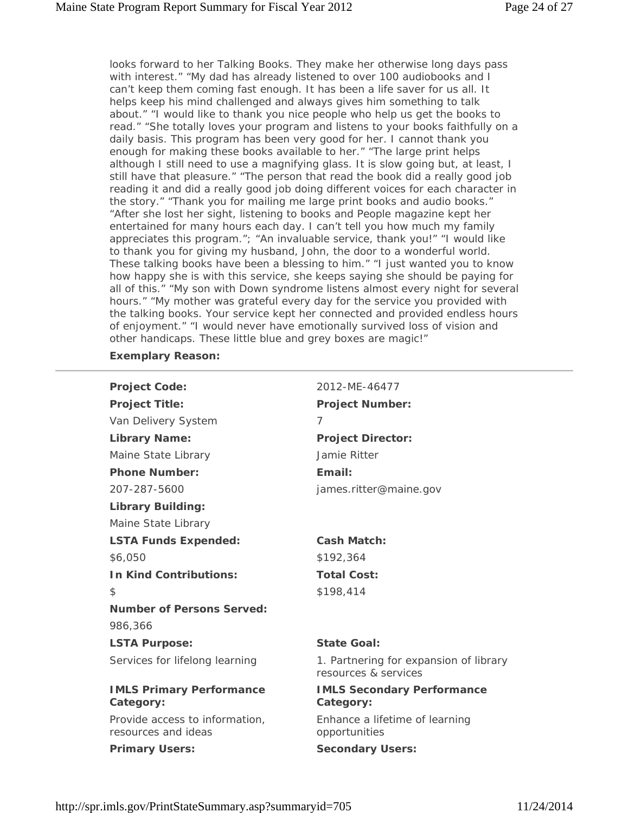looks forward to her Talking Books. They make her otherwise long days pass with interest." "My dad has already listened to over 100 audiobooks and I can't keep them coming fast enough. It has been a life saver for us all. It helps keep his mind challenged and always gives him something to talk about." "I would like to thank you nice people who help us get the books to read." "She totally loves your program and listens to your books faithfully on a daily basis. This program has been very good for her. I cannot thank you enough for making these books available to her." "The large print helps although I still need to use a magnifying glass. It is slow going but, at least, I still have that pleasure." "The person that read the book did a really good job reading it and did a really good job doing different voices for each character in the story." "Thank you for mailing me large print books and audio books." "After she lost her sight, listening to books and People magazine kept her entertained for many hours each day. I can't tell you how much my family appreciates this program."; "An invaluable service, thank you!" "I would like to thank you for giving my husband, John, the door to a wonderful world. These talking books have been a blessing to him." "I just wanted you to know how happy she is with this service, she keeps saying she should be paying for all of this." "My son with Down syndrome listens almost every night for several hours." "My mother was grateful every day for the service you provided with the talking books. Your service kept her connected and provided endless hours of enjoyment." "I would never have emotionally survived loss of vision and other handicaps. These little blue and grey boxes are magic!"

#### **Exemplary Reason:**

| <b>Project Code:</b>                                  | 2012-MF-46477                                                  |
|-------------------------------------------------------|----------------------------------------------------------------|
| <b>Project Title:</b>                                 | <b>Project Number:</b>                                         |
| Van Delivery System                                   | 7                                                              |
| <b>Library Name:</b>                                  | <b>Project Director:</b>                                       |
| Maine State Library                                   | Jamie Ritter                                                   |
| <b>Phone Number:</b>                                  | Email:                                                         |
| 207-287-5600                                          | james.ritter@maine.gov                                         |
| <b>Library Building:</b>                              |                                                                |
| Maine State Library                                   |                                                                |
| <b>LSTA Funds Expended:</b>                           | <b>Cash Match:</b>                                             |
| \$6,050                                               | \$192,364                                                      |
| <b>In Kind Contributions:</b>                         | <b>Total Cost:</b>                                             |
| \$                                                    | \$198,414                                                      |
| <b>Number of Persons Served:</b>                      |                                                                |
| 986,366                                               |                                                                |
| <b>LSTA Purpose:</b>                                  | <b>State Goal:</b>                                             |
| Services for lifelong learning                        | 1. Partnering for expansion of library<br>resources & services |
| <b>IMLS Primary Performance</b><br>Category:          | <b>IMLS Secondary Performance</b><br>Category:                 |
| Provide access to information,<br>resources and ideas | Enhance a lifetime of learning<br>opportunities                |
| <b>Primary Users:</b>                                 | <b>Secondary Users:</b>                                        |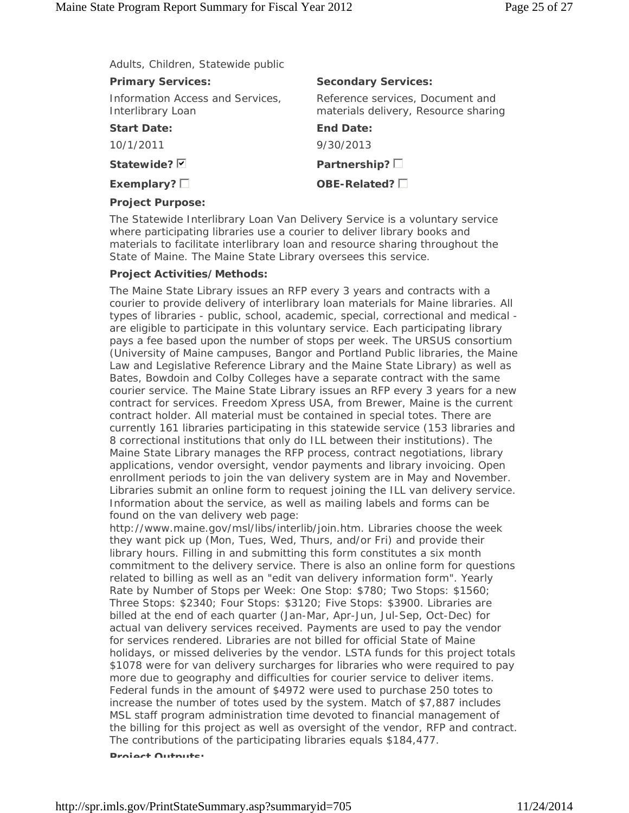Adults, Children, Statewide public

| <b>Primary Services:</b>                              | <b>Secondary Services:</b>                                               |
|-------------------------------------------------------|--------------------------------------------------------------------------|
| Information Access and Services,<br>Interlibrary Loan | Reference services, Document and<br>materials delivery, Resource sharing |
| <b>Start Date:</b>                                    | <b>End Date:</b>                                                         |
| 10/1/2011                                             | 9/30/2013                                                                |
| Statewide? $\nabla$                                   | Partnership? $\square$                                                   |
| Exemplary? $\square$                                  | OBE-Related? $\square$                                                   |
| <b>Project Purpose:</b>                               |                                                                          |

The Statewide Interlibrary Loan Van Delivery Service is a voluntary service where participating libraries use a courier to deliver library books and materials to facilitate interlibrary loan and resource sharing throughout the State of Maine. The Maine State Library oversees this service.

#### **Project Activities/Methods:**

The Maine State Library issues an RFP every 3 years and contracts with a courier to provide delivery of interlibrary loan materials for Maine libraries. All types of libraries - public, school, academic, special, correctional and medical are eligible to participate in this voluntary service. Each participating library pays a fee based upon the number of stops per week. The URSUS consortium (University of Maine campuses, Bangor and Portland Public libraries, the Maine Law and Legislative Reference Library and the Maine State Library) as well as Bates, Bowdoin and Colby Colleges have a separate contract with the same courier service. The Maine State Library issues an RFP every 3 years for a new contract for services. Freedom Xpress USA, from Brewer, Maine is the current contract holder. All material must be contained in special totes. There are currently 161 libraries participating in this statewide service (153 libraries and 8 correctional institutions that only do ILL between their institutions). The Maine State Library manages the RFP process, contract negotiations, library applications, vendor oversight, vendor payments and library invoicing. Open enrollment periods to join the van delivery system are in May and November. Libraries submit an online form to request joining the ILL van delivery service. Information about the service, as well as mailing labels and forms can be found on the van delivery web page:

http://www.maine.gov/msl/libs/interlib/join.htm. Libraries choose the week they want pick up (Mon, Tues, Wed, Thurs, and/or Fri) and provide their library hours. Filling in and submitting this form constitutes a six month commitment to the delivery service. There is also an online form for questions related to billing as well as an "edit van delivery information form". Yearly Rate by Number of Stops per Week: One Stop: \$780; Two Stops: \$1560; Three Stops: \$2340; Four Stops: \$3120; Five Stops: \$3900. Libraries are billed at the end of each quarter (Jan-Mar, Apr-Jun, Jul-Sep, Oct-Dec) for actual van delivery services received. Payments are used to pay the vendor for services rendered. Libraries are not billed for official State of Maine holidays, or missed deliveries by the vendor. LSTA funds for this project totals \$1078 were for van delivery surcharges for libraries who were required to pay more due to geography and difficulties for courier service to deliver items. Federal funds in the amount of \$4972 were used to purchase 250 totes to increase the number of totes used by the system. Match of \$7,887 includes MSL staff program administration time devoted to financial management of the billing for this project as well as oversight of the vendor, RFP and contract. The contributions of the participating libraries equals \$184,477.

**Project Outpute:**